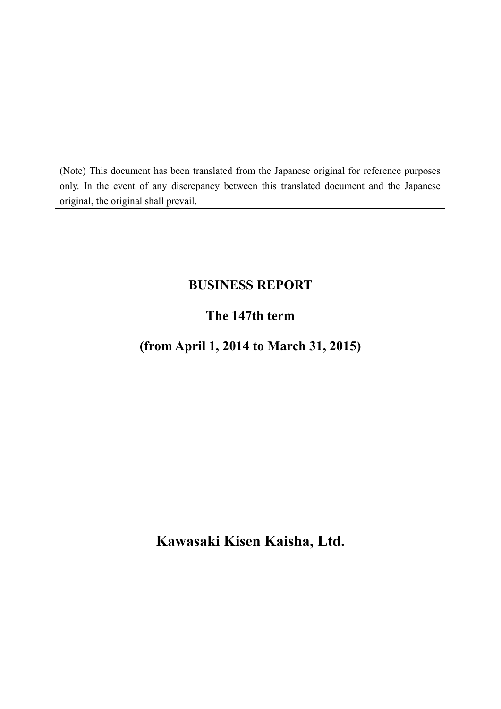(Note) This document has been translated from the Japanese original for reference purposes only. In the event of any discrepancy between this translated document and the Japanese original, the original shall prevail.

# **BUSINESS REPORT**

# **The 147th term**

# **(from April 1, 2014 to March 31, 2015)**

**Kawasaki Kisen Kaisha, Ltd.**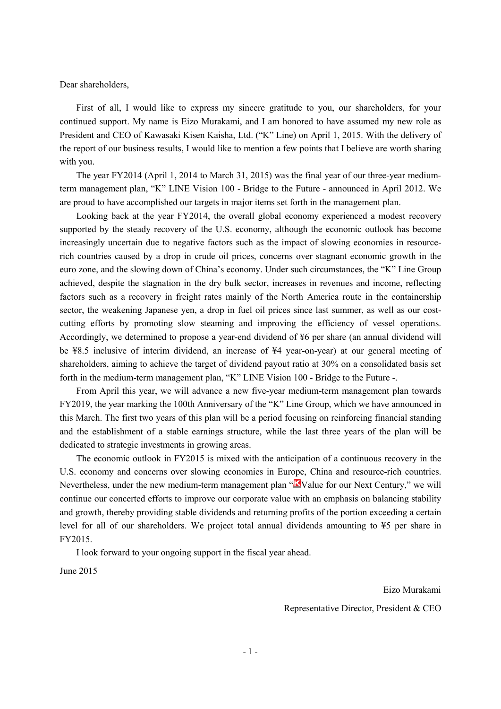Dear shareholders,

First of all, I would like to express my sincere gratitude to you, our shareholders, for your continued support. My name is Eizo Murakami, and I am honored to have assumed my new role as President and CEO of Kawasaki Kisen Kaisha, Ltd. ("K" Line) on April 1, 2015. With the delivery of the report of our business results, I would like to mention a few points that I believe are worth sharing with you.

The year FY2014 (April 1, 2014 to March 31, 2015) was the final year of our three-year mediumterm management plan, "K" LINE Vision 100 - Bridge to the Future - announced in April 2012. We are proud to have accomplished our targets in major items set forth in the management plan.

Looking back at the year FY2014, the overall global economy experienced a modest recovery supported by the steady recovery of the U.S. economy, although the economic outlook has become increasingly uncertain due to negative factors such as the impact of slowing economies in resourcerich countries caused by a drop in crude oil prices, concerns over stagnant economic growth in the euro zone, and the slowing down of China's economy. Under such circumstances, the "K" Line Group achieved, despite the stagnation in the dry bulk sector, increases in revenues and income, reflecting factors such as a recovery in freight rates mainly of the North America route in the containership sector, the weakening Japanese yen, a drop in fuel oil prices since last summer, as well as our costcutting efforts by promoting slow steaming and improving the efficiency of vessel operations. Accordingly, we determined to propose a year-end dividend of ¥6 per share (an annual dividend will be ¥8.5 inclusive of interim dividend, an increase of ¥4 year-on-year) at our general meeting of shareholders, aiming to achieve the target of dividend payout ratio at 30% on a consolidated basis set forth in the medium-term management plan, "K" LINE Vision 100 - Bridge to the Future -.

From April this year, we will advance a new five-year medium-term management plan towards FY2019, the year marking the 100th Anniversary of the "K" Line Group, which we have announced in this March. The first two years of this plan will be a period focusing on reinforcing financial standing and the establishment of a stable earnings structure, while the last three years of the plan will be dedicated to strategic investments in growing areas.

The economic outlook in FY2015 is mixed with the anticipation of a continuous recovery in the U.S. economy and concerns over slowing economies in Europe, China and resource-rich countries. Nevertheless, under the new medium-term management plan " $\mathbf{\hat{K}}$ Value for our Next Century," we will continue our concerted efforts to improve our corporate value with an emphasis on balancing stability and growth, thereby providing stable dividends and returning profits of the portion exceeding a certain level for all of our shareholders. We project total annual dividends amounting to ¥5 per share in FY2015.

I look forward to your ongoing support in the fiscal year ahead.

June 2015

Eizo Murakami

Representative Director, President & CEO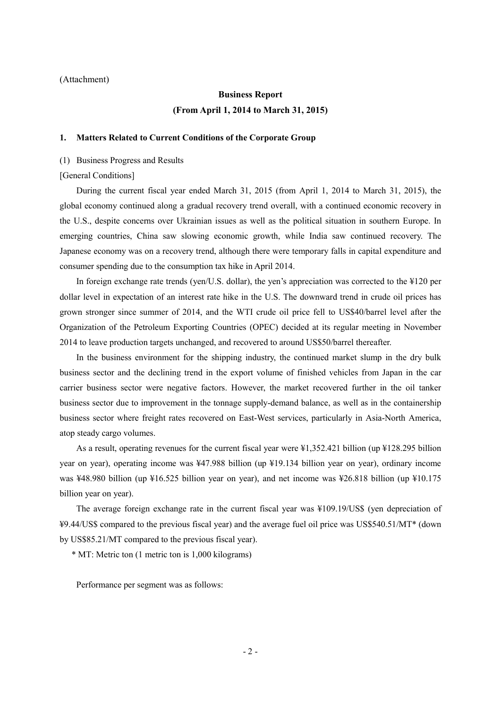#### (Attachment)

# **Business Report (From April 1, 2014 to March 31, 2015)**

### **1. Matters Related to Current Conditions of the Corporate Group**

(1) Business Progress and Results

[General Conditions]

During the current fiscal year ended March 31, 2015 (from April 1, 2014 to March 31, 2015), the global economy continued along a gradual recovery trend overall, with a continued economic recovery in the U.S., despite concerns over Ukrainian issues as well as the political situation in southern Europe. In emerging countries, China saw slowing economic growth, while India saw continued recovery. The Japanese economy was on a recovery trend, although there were temporary falls in capital expenditure and consumer spending due to the consumption tax hike in April 2014.

In foreign exchange rate trends (yen/U.S. dollar), the yen's appreciation was corrected to the ¥120 per dollar level in expectation of an interest rate hike in the U.S. The downward trend in crude oil prices has grown stronger since summer of 2014, and the WTI crude oil price fell to US\$40/barrel level after the Organization of the Petroleum Exporting Countries (OPEC) decided at its regular meeting in November 2014 to leave production targets unchanged, and recovered to around US\$50/barrel thereafter.

In the business environment for the shipping industry, the continued market slump in the dry bulk business sector and the declining trend in the export volume of finished vehicles from Japan in the car carrier business sector were negative factors. However, the market recovered further in the oil tanker business sector due to improvement in the tonnage supply-demand balance, as well as in the containership business sector where freight rates recovered on East-West services, particularly in Asia-North America, atop steady cargo volumes.

As a result, operating revenues for the current fiscal year were ¥1,352.421 billion (up ¥128.295 billion year on year), operating income was ¥47.988 billion (up ¥19.134 billion year on year), ordinary income was ¥48.980 billion (up ¥16.525 billion year on year), and net income was ¥26.818 billion (up ¥10.175 billion year on year).

The average foreign exchange rate in the current fiscal year was ¥109.19/US\$ (yen depreciation of ¥9.44/US\$ compared to the previous fiscal year) and the average fuel oil price was US\$540.51/MT\* (down by US\$85.21/MT compared to the previous fiscal year).

\* MT: Metric ton (1 metric ton is 1,000 kilograms)

Performance per segment was as follows: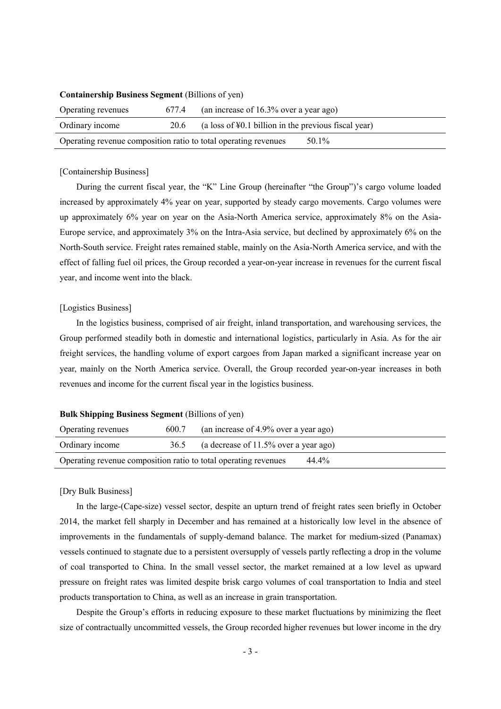| Operating revenues                                              | 677.4 | (an increase of $16.3\%$ over a year ago)                  |  |  |
|-----------------------------------------------------------------|-------|------------------------------------------------------------|--|--|
| Ordinary income                                                 | 20.6  | (a loss of $\yen 0.1$ billion in the previous fiscal year) |  |  |
| Operating revenue composition ratio to total operating revenues |       | 50.1%                                                      |  |  |

### **Containership Business Segment** (Billions of yen)

#### [Containership Business]

During the current fiscal year, the "K" Line Group (hereinafter "the Group")'s cargo volume loaded increased by approximately 4% year on year, supported by steady cargo movements. Cargo volumes were up approximately 6% year on year on the Asia-North America service, approximately 8% on the Asia-Europe service, and approximately 3% on the Intra-Asia service, but declined by approximately 6% on the North-South service. Freight rates remained stable, mainly on the Asia-North America service, and with the effect of falling fuel oil prices, the Group recorded a year-on-year increase in revenues for the current fiscal year, and income went into the black.

### [Logistics Business]

In the logistics business, comprised of air freight, inland transportation, and warehousing services, the Group performed steadily both in domestic and international logistics, particularly in Asia. As for the air freight services, the handling volume of export cargoes from Japan marked a significant increase year on year, mainly on the North America service. Overall, the Group recorded year-on-year increases in both revenues and income for the current fiscal year in the logistics business.

### **Bulk Shipping Business Segment (Billions of yen)**

| Operating revenues                                              | 600.7 | (an increase of 4.9% over a year ago)    |
|-----------------------------------------------------------------|-------|------------------------------------------|
| Ordinary income                                                 | 36.5  | (a decrease of $11.5\%$ over a year ago) |
| Operating revenue composition ratio to total operating revenues | 44.4% |                                          |

### [Dry Bulk Business]

In the large-(Cape-size) vessel sector, despite an upturn trend of freight rates seen briefly in October 2014, the market fell sharply in December and has remained at a historically low level in the absence of improvements in the fundamentals of supply-demand balance. The market for medium-sized (Panamax) vessels continued to stagnate due to a persistent oversupply of vessels partly reflecting a drop in the volume of coal transported to China. In the small vessel sector, the market remained at a low level as upward pressure on freight rates was limited despite brisk cargo volumes of coal transportation to India and steel products transportation to China, as well as an increase in grain transportation.

Despite the Group's efforts in reducing exposure to these market fluctuations by minimizing the fleet size of contractually uncommitted vessels, the Group recorded higher revenues but lower income in the dry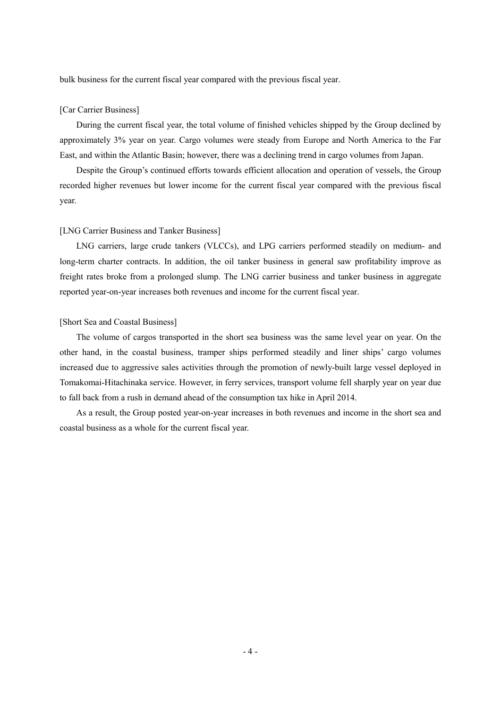bulk business for the current fiscal year compared with the previous fiscal year.

### [Car Carrier Business]

During the current fiscal year, the total volume of finished vehicles shipped by the Group declined by approximately 3% year on year. Cargo volumes were steady from Europe and North America to the Far East, and within the Atlantic Basin; however, there was a declining trend in cargo volumes from Japan.

Despite the Group's continued efforts towards efficient allocation and operation of vessels, the Group recorded higher revenues but lower income for the current fiscal year compared with the previous fiscal year.

#### [LNG Carrier Business and Tanker Business]

LNG carriers, large crude tankers (VLCCs), and LPG carriers performed steadily on medium- and long-term charter contracts. In addition, the oil tanker business in general saw profitability improve as freight rates broke from a prolonged slump. The LNG carrier business and tanker business in aggregate reported year-on-year increases both revenues and income for the current fiscal year.

#### [Short Sea and Coastal Business]

The volume of cargos transported in the short sea business was the same level year on year. On the other hand, in the coastal business, tramper ships performed steadily and liner ships' cargo volumes increased due to aggressive sales activities through the promotion of newly-built large vessel deployed in Tomakomai-Hitachinaka service. However, in ferry services, transport volume fell sharply year on year due to fall back from a rush in demand ahead of the consumption tax hike in April 2014.

As a result, the Group posted year-on-year increases in both revenues and income in the short sea and coastal business as a whole for the current fiscal year.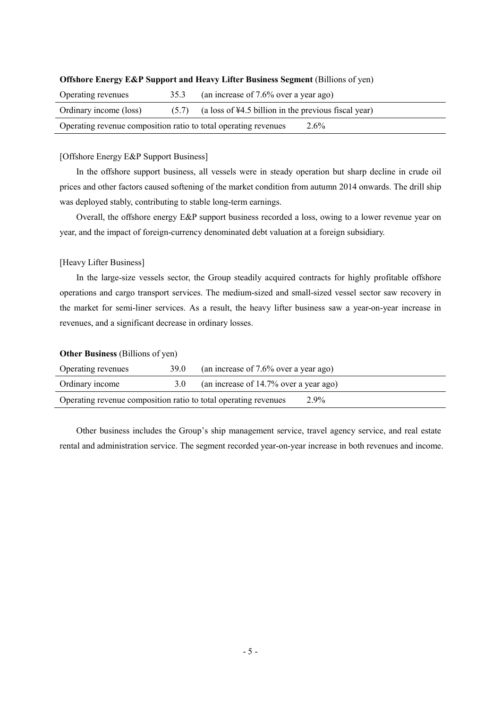| Operating revenues                                              | 35.3  | (an increase of $7.6\%$ over a year ago)               |  |
|-----------------------------------------------------------------|-------|--------------------------------------------------------|--|
| Ordinary income (loss)                                          | (5.7) | (a loss of $44.5$ billion in the previous fiscal year) |  |
| Operating revenue composition ratio to total operating revenues |       | $2.6\%$                                                |  |

### **Offshore Energy E&P Support and Heavy Lifter Business Segment (Billions of yen)**

#### [Offshore Energy E&P Support Business]

In the offshore support business, all vessels were in steady operation but sharp decline in crude oil prices and other factors caused softening of the market condition from autumn 2014 onwards. The drill ship was deployed stably, contributing to stable long-term earnings.

Overall, the offshore energy E&P support business recorded a loss, owing to a lower revenue year on year, and the impact of foreign-currency denominated debt valuation at a foreign subsidiary.

#### [Heavy Lifter Business]

In the large-size vessels sector, the Group steadily acquired contracts for highly profitable offshore operations and cargo transport services. The medium-sized and small-sized vessel sector saw recovery in the market for semi-liner services. As a result, the heavy lifter business saw a year-on-year increase in revenues, and a significant decrease in ordinary losses.

### **Other Business** (Billions of yen)

| Operating revenues                                              | 39.0 | (an increase of $7.6\%$ over a year ago) |         |
|-----------------------------------------------------------------|------|------------------------------------------|---------|
| Ordinary income                                                 | 3.0  | (an increase of 14.7% over a year ago)   |         |
| Operating revenue composition ratio to total operating revenues |      |                                          | $2.9\%$ |

Other business includes the Group's ship management service, travel agency service, and real estate rental and administration service. The segment recorded year-on-year increase in both revenues and income.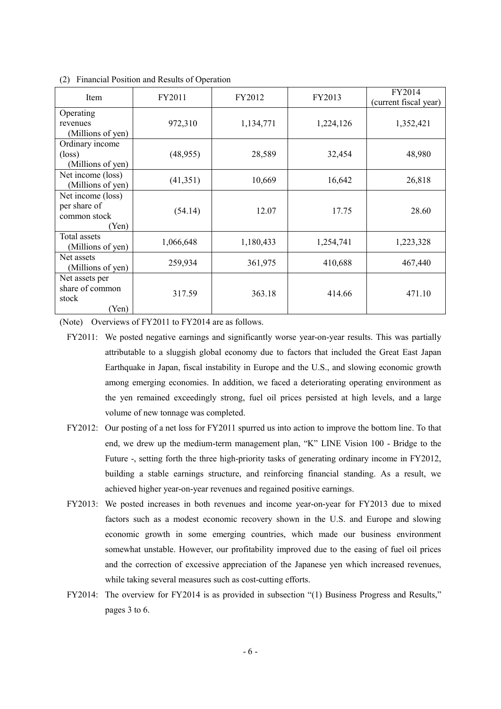| <b>Item</b>                                                | FY2011    | FY2012    | FY2013    | FY2014<br>(current fiscal year) |  |
|------------------------------------------------------------|-----------|-----------|-----------|---------------------------------|--|
| Operating<br>revenues<br>(Millions of yen)                 | 972,310   | 1,134,771 | 1,224,126 | 1,352,421                       |  |
| Ordinary income<br>$(\text{loss})$<br>(Millions of yen)    | (48, 955) | 28,589    | 32,454    | 48,980                          |  |
| Net income (loss)<br>(Millions of yen)                     | (41,351)  | 10,669    | 16,642    | 26,818                          |  |
| Net income (loss)<br>per share of<br>common stock<br>(Yen) | (54.14)   | 12.07     | 17.75     | 28.60                           |  |
| Total assets<br>(Millions of yen)                          | 1,066,648 | 1,180,433 | 1,254,741 | 1,223,328                       |  |
| Net assets<br>(Millions of yen)                            | 259,934   | 361,975   | 410,688   | 467,440                         |  |
| Net assets per<br>share of common<br>stock<br>(Yen)        | 317.59    | 363.18    | 414.66    | 471.10                          |  |

(2) Financial Position and Results of Operation

(Note) Overviews of FY2011 to FY2014 are as follows.

- FY2012: Our posting of a net loss for FY2011 spurred us into action to improve the bottom line. To that end, we drew up the medium-term management plan, "K" LINE Vision 100 - Bridge to the Future -, setting forth the three high-priority tasks of generating ordinary income in FY2012, building a stable earnings structure, and reinforcing financial standing. As a result, we achieved higher year-on-year revenues and regained positive earnings.
- FY2013: We posted increases in both revenues and income year-on-year for FY2013 due to mixed factors such as a modest economic recovery shown in the U.S. and Europe and slowing economic growth in some emerging countries, which made our business environment somewhat unstable. However, our profitability improved due to the easing of fuel oil prices and the correction of excessive appreciation of the Japanese yen which increased revenues, while taking several measures such as cost-cutting efforts.
- FY2014: The overview for FY2014 is as provided in subsection "(1) Business Progress and Results," pages 3 to 6.

FY2011: We posted negative earnings and significantly worse year-on-year results. This was partially attributable to a sluggish global economy due to factors that included the Great East Japan Earthquake in Japan, fiscal instability in Europe and the U.S., and slowing economic growth among emerging economies. In addition, we faced a deteriorating operating environment as the yen remained exceedingly strong, fuel oil prices persisted at high levels, and a large volume of new tonnage was completed.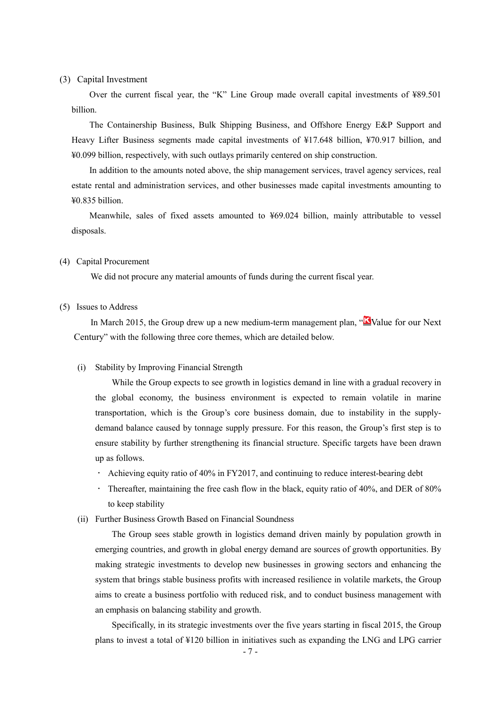### (3) Capital Investment

Over the current fiscal year, the "K" Line Group made overall capital investments of ¥89.501 billion.

The Containership Business, Bulk Shipping Business, and Offshore Energy E&P Support and Heavy Lifter Business segments made capital investments of ¥17.648 billion, ¥70.917 billion, and ¥0.099 billion, respectively, with such outlays primarily centered on ship construction.

In addition to the amounts noted above, the ship management services, travel agency services, real estate rental and administration services, and other businesses made capital investments amounting to ¥0.835 billion.

Meanwhile, sales of fixed assets amounted to ¥69.024 billion, mainly attributable to vessel disposals.

#### (4) Capital Procurement

We did not procure any material amounts of funds during the current fiscal year.

#### (5) Issues to Address

In March 2015, the Group drew up a new medium-term management plan, "No Value for our Next" Century" with the following three core themes, which are detailed below.

#### (i) Stability by Improving Financial Strength

While the Group expects to see growth in logistics demand in line with a gradual recovery in the global economy, the business environment is expected to remain volatile in marine transportation, which is the Group's core business domain, due to instability in the supplydemand balance caused by tonnage supply pressure. For this reason, the Group's first step is to ensure stability by further strengthening its financial structure. Specific targets have been drawn up as follows.

- Achieving equity ratio of 40% in FY2017, and continuing to reduce interest-bearing debt
- Thereafter, maintaining the free cash flow in the black, equity ratio of 40%, and DER of 80% to keep stability
- (ii) Further Business Growth Based on Financial Soundness

The Group sees stable growth in logistics demand driven mainly by population growth in emerging countries, and growth in global energy demand are sources of growth opportunities. By making strategic investments to develop new businesses in growing sectors and enhancing the system that brings stable business profits with increased resilience in volatile markets, the Group aims to create a business portfolio with reduced risk, and to conduct business management with an emphasis on balancing stability and growth.

Specifically, in its strategic investments over the five years starting in fiscal 2015, the Group plans to invest a total of ¥120 billion in initiatives such as expanding the LNG and LPG carrier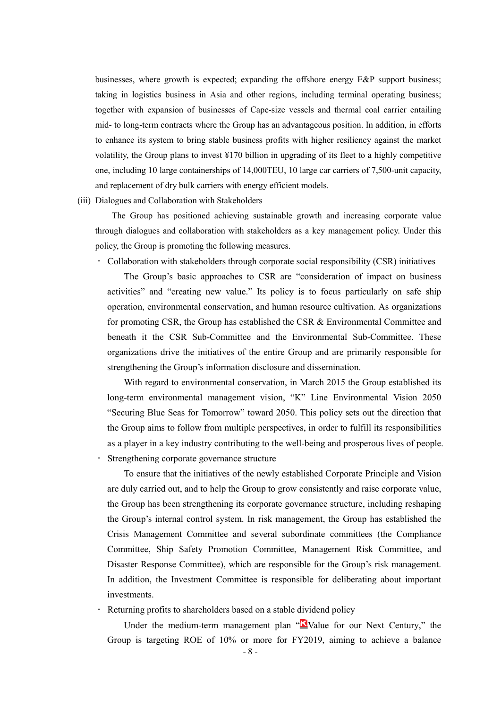businesses, where growth is expected; expanding the offshore energy E&P support business; taking in logistics business in Asia and other regions, including terminal operating business; together with expansion of businesses of Cape-size vessels and thermal coal carrier entailing mid- to long-term contracts where the Group has an advantageous position. In addition, in efforts to enhance its system to bring stable business profits with higher resiliency against the market volatility, the Group plans to invest ¥170 billion in upgrading of its fleet to a highly competitive one, including 10 large containerships of 14,000TEU, 10 large car carriers of 7,500-unit capacity, and replacement of dry bulk carriers with energy efficient models.

(iii) Dialogues and Collaboration with Stakeholders

The Group has positioned achieving sustainable growth and increasing corporate value through dialogues and collaboration with stakeholders as a key management policy. Under this policy, the Group is promoting the following measures.

Collaboration with stakeholders through corporate social responsibility (CSR) initiatives

The Group's basic approaches to CSR are "consideration of impact on business activities" and "creating new value." Its policy is to focus particularly on safe ship operation, environmental conservation, and human resource cultivation. As organizations for promoting CSR, the Group has established the CSR & Environmental Committee and beneath it the CSR Sub-Committee and the Environmental Sub-Committee. These organizations drive the initiatives of the entire Group and are primarily responsible for strengthening the Group's information disclosure and dissemination.

With regard to environmental conservation, in March 2015 the Group established its long-term environmental management vision, "K" Line Environmental Vision 2050 "Securing Blue Seas for Tomorrow" toward 2050. This policy sets out the direction that the Group aims to follow from multiple perspectives, in order to fulfill its responsibilities as a player in a key industry contributing to the well-being and prosperous lives of people. Strengthening corporate governance structure

To ensure that the initiatives of the newly established Corporate Principle and Vision are duly carried out, and to help the Group to grow consistently and raise corporate value, the Group has been strengthening its corporate governance structure, including reshaping the Group's internal control system. In risk management, the Group has established the Crisis Management Committee and several subordinate committees (the Compliance Committee, Ship Safety Promotion Committee, Management Risk Committee, and Disaster Response Committee), which are responsible for the Group's risk management. In addition, the Investment Committee is responsible for deliberating about important investments.

Returning profits to shareholders based on a stable dividend policy

Under the medium-term management plan " $\Delta$ Value for our Next Century," the Group is targeting ROE of 10% or more for FY2019, aiming to achieve a balance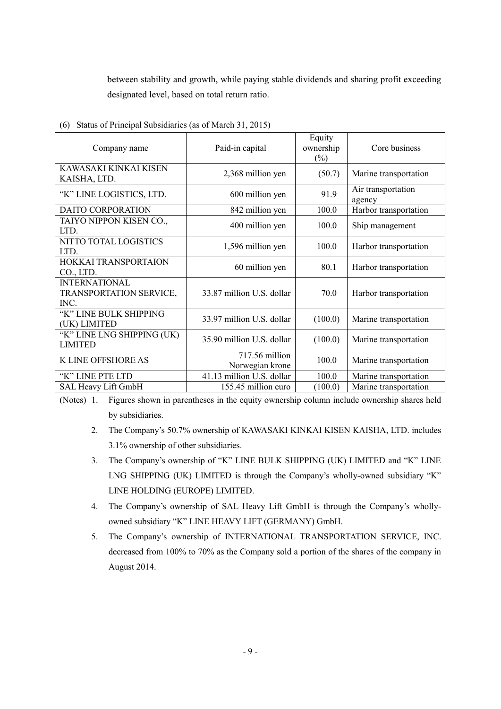between stability and growth, while paying stable dividends and sharing profit exceeding designated level, based on total return ratio.

| Company name                                            | Paid-in capital                   | Equity<br>ownership<br>$(\%)$ | Core business                |
|---------------------------------------------------------|-----------------------------------|-------------------------------|------------------------------|
| KAWASAKI KINKAI KISEN<br>KAISHA, LTD.                   | 2,368 million yen                 | (50.7)                        | Marine transportation        |
| "K" LINE LOGISTICS, LTD.                                | 600 million yen                   | 91.9                          | Air transportation<br>agency |
| <b>DAITO CORPORATION</b>                                | 842 million yen                   | 100.0                         | Harbor transportation        |
| TAIYO NIPPON KISEN CO.,<br>LTD.                         | 400 million yen                   | 100.0                         | Ship management              |
| NITTO TOTAL LOGISTICS<br>LTD.                           | 1,596 million yen                 | 100.0                         | Harbor transportation        |
| HOKKAI TRANSPORTAION<br>CO., LTD.                       | 60 million yen                    | 80.1                          | Harbor transportation        |
| <b>INTERNATIONAL</b><br>TRANSPORTATION SERVICE,<br>INC. | 33.87 million U.S. dollar         | 70.0                          | Harbor transportation        |
| "K" LINE BULK SHIPPING<br>(UK) LIMITED                  | 33.97 million U.S. dollar         | (100.0)                       | Marine transportation        |
| "K" LINE LNG SHIPPING (UK)<br><b>LIMITED</b>            | 35.90 million U.S. dollar         | (100.0)                       | Marine transportation        |
| K LINE OFFSHORE AS                                      | 717.56 million<br>Norwegian krone | 100.0                         | Marine transportation        |
| "K" LINE PTE LTD                                        | 41.13 million U.S. dollar         | 100.0                         | Marine transportation        |
| SAL Heavy Lift GmbH                                     | 155.45 million euro               | (100.0)                       | Marine transportation        |

(6) Status of Principal Subsidiaries (as of March 31, 2015)

(Notes) 1. Figures shown in parentheses in the equity ownership column include ownership shares held by subsidiaries.

- 2. The Company's 50.7% ownership of KAWASAKI KINKAI KISEN KAISHA, LTD. includes 3.1% ownership of other subsidiaries.
- 3. The Company's ownership of "K" LINE BULK SHIPPING (UK) LIMITED and "K" LINE LNG SHIPPING (UK) LIMITED is through the Company's wholly-owned subsidiary "K" LINE HOLDING (EUROPE) LIMITED.
- 4. The Company's ownership of SAL Heavy Lift GmbH is through the Company's whollyowned subsidiary "K" LINE HEAVY LIFT (GERMANY) GmbH.
- 5. The Company's ownership of INTERNATIONAL TRANSPORTATION SERVICE, INC. decreased from 100% to 70% as the Company sold a portion of the shares of the company in August 2014.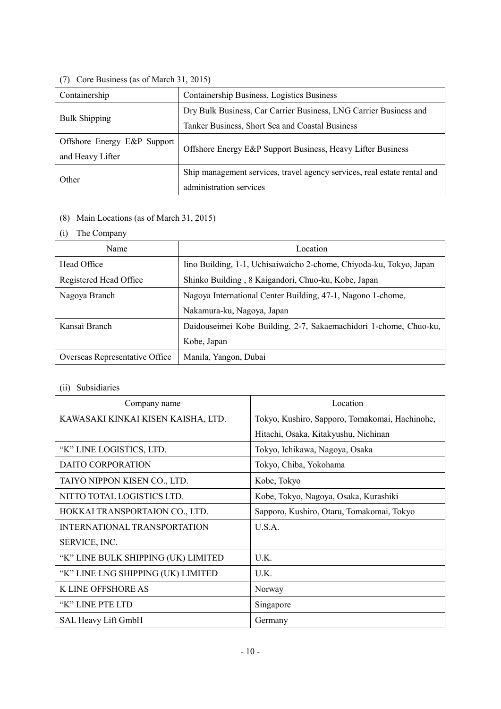# (7) Core Business (as of March 31, 2015)

| Containership               | Containership Business, Logistics Business                               |
|-----------------------------|--------------------------------------------------------------------------|
|                             | Dry Bulk Business, Car Carrier Business, LNG Carrier Business and        |
| <b>Bulk Shipping</b>        | Tanker Business, Short Sea and Coastal Business                          |
| Offshore Energy E&P Support |                                                                          |
| and Heavy Lifter            | Offshore Energy E&P Support Business, Heavy Lifter Business              |
|                             | Ship management services, travel agency services, real estate rental and |
| Other                       | administration services                                                  |

# (8) Main Locations (as of March 31, 2015)

# (i) The Company

| Name                           | Location                                                            |
|--------------------------------|---------------------------------------------------------------------|
| Head Office                    | Iino Building, 1-1, Uchisaiwaicho 2-chome, Chiyoda-ku, Tokyo, Japan |
| Registered Head Office         | Shinko Building, 8 Kaigandori, Chuo-ku, Kobe, Japan                 |
| Nagoya Branch                  | Nagoya International Center Building, 47-1, Nagono 1-chome,         |
|                                | Nakamura-ku, Nagoya, Japan                                          |
| Kansai Branch                  | Daidouseimei Kobe Building, 2-7, Sakaemachidori 1-chome, Chuo-ku,   |
|                                | Kobe, Japan                                                         |
| Overseas Representative Office | Manila, Yangon, Dubai                                               |

# (ii) Subsidiaries

| Company name                        | Location                                       |
|-------------------------------------|------------------------------------------------|
| KAWASAKI KINKAI KISEN KAISHA, LTD.  | Tokyo, Kushiro, Sapporo, Tomakomai, Hachinohe, |
|                                     | Hitachi, Osaka, Kitakyushu, Nichinan           |
| "K" LINE LOGISTICS, LTD.            | Tokyo, Ichikawa, Nagoya, Osaka                 |
| DAITO CORPORATION                   | Tokyo, Chiba, Yokohama                         |
| TAIYO NIPPON KISEN CO., LTD.        | Kobe, Tokyo                                    |
| NITTO TOTAL LOGISTICS LTD.          | Kobe, Tokyo, Nagoya, Osaka, Kurashiki          |
| HOKKAI TRANSPORTAION CO., LTD.      | Sapporo, Kushiro, Otaru, Tomakomai, Tokyo      |
| INTERNATIONAL TRANSPORTATION        | U.S.A.                                         |
| SERVICE, INC.                       |                                                |
| "K" LINE BULK SHIPPING (UK) LIMITED | U.K.                                           |
| "K" LINE LNG SHIPPING (UK) LIMITED  | U.K.                                           |
| K LINE OFFSHORE AS                  | Norway                                         |
| "K" LINE PTE LTD                    | Singapore                                      |
| SAL Heavy Lift GmbH                 | Germany                                        |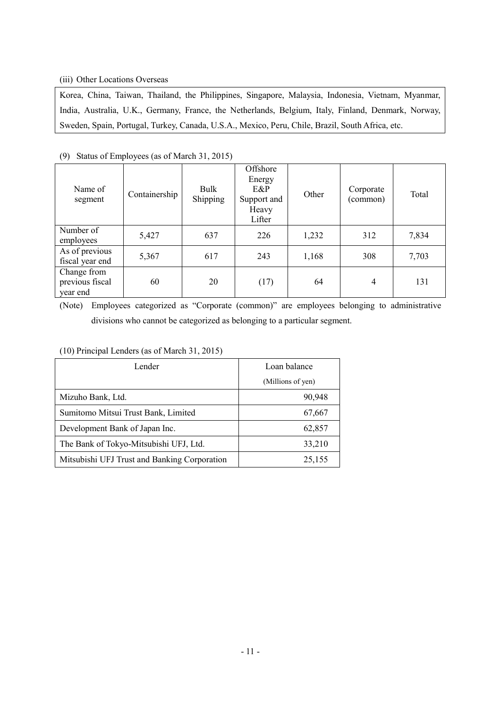### (iii) Other Locations Overseas

Korea, China, Taiwan, Thailand, the Philippines, Singapore, Malaysia, Indonesia, Vietnam, Myanmar, India, Australia, U.K., Germany, France, the Netherlands, Belgium, Italy, Finland, Denmark, Norway, Sweden, Spain, Portugal, Turkey, Canada, U.S.A., Mexico, Peru, Chile, Brazil, South Africa, etc.

| Name of<br>segment                         | Containership | Bulk<br>Shipping | Offshore<br>Energy<br>E&P<br>Support and<br>Heavy<br>Lifter | Other | Corporate<br>(common) | Total |
|--------------------------------------------|---------------|------------------|-------------------------------------------------------------|-------|-----------------------|-------|
| Number of<br>employees                     | 5,427         | 637              | 226                                                         | 1,232 | 312                   | 7,834 |
| As of previous<br>fiscal year end          | 5,367         | 617              | 243                                                         | 1,168 | 308                   | 7,703 |
| Change from<br>previous fiscal<br>year end | 60            | 20               | (17)                                                        | 64    | $\overline{4}$        | 131   |

(9) Status of Employees (as of March 31, 2015)

(Note) Employees categorized as "Corporate (common)" are employees belonging to administrative divisions who cannot be categorized as belonging to a particular segment.

### (10) Principal Lenders (as of March 31, 2015)

| Lender                                       | Loan balance      |  |  |
|----------------------------------------------|-------------------|--|--|
|                                              | (Millions of yen) |  |  |
| Mizuho Bank, Ltd.                            | 90,948            |  |  |
| Sumitomo Mitsui Trust Bank, Limited          | 67,667            |  |  |
| Development Bank of Japan Inc.               | 62,857            |  |  |
| The Bank of Tokyo-Mitsubishi UFJ, Ltd.       | 33,210            |  |  |
| Mitsubishi UFJ Trust and Banking Corporation | 25,155            |  |  |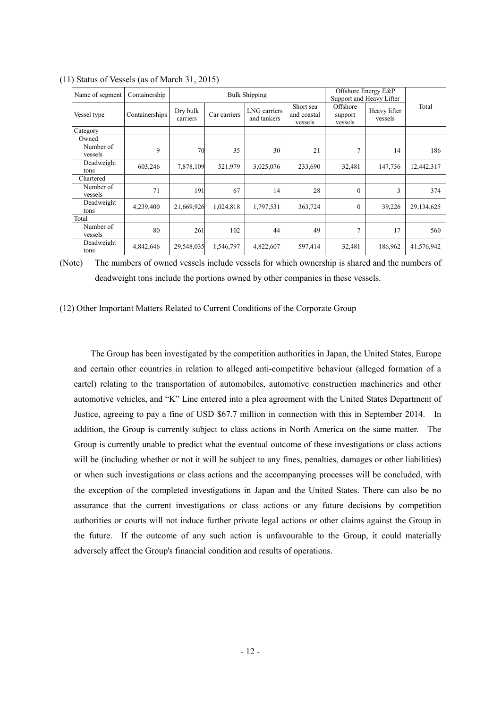| Name of segment      | Containership  | <b>Bulk Shipping</b> |              |                             | Offshore Energy E&P<br>Support and Heavy Lifter |                                |                         |            |
|----------------------|----------------|----------------------|--------------|-----------------------------|-------------------------------------------------|--------------------------------|-------------------------|------------|
| Vessel type          | Containerships | Dry bulk<br>carriers | Car carriers | LNG carriers<br>and tankers | Short sea<br>and coastal<br>vessels             | Offshore<br>support<br>vessels | Heavy lifter<br>vessels | Total      |
| Category             |                |                      |              |                             |                                                 |                                |                         |            |
| Owned                |                |                      |              |                             |                                                 |                                |                         |            |
| Number of<br>vessels | 9              | 70                   | 35           | 30                          | 21                                              | 7                              | 14                      | 186        |
| Deadweight<br>tons   | 603,246        | 7,878,109            | 521,979      | 3,025,076                   | 233,690                                         | 32,481                         | 147,736                 | 12,442,317 |
| Chartered            |                |                      |              |                             |                                                 |                                |                         |            |
| Number of<br>vessels | 71             | 191                  | 67           | 14                          | 28                                              | $\theta$                       | 3                       | 374        |
| Deadweight<br>tons   | 4,239,400      | 21,669,926           | 1,024,818    | 1,797,531                   | 363,724                                         | $\theta$                       | 39,226                  | 29,134,625 |
| Total                |                |                      |              |                             |                                                 |                                |                         |            |
| Number of<br>vessels | 80             | 261                  | 102          | 44                          | 49                                              | $\overline{7}$                 | 17                      | 560        |
| Deadweight<br>tons   | 4,842,646      | 29,548,035           | 1,546,797    | 4,822,607                   | 597,414                                         | 32,481                         | 186,962                 | 41,576,942 |

(11) Status of Vessels (as of March 31, 2015)

(Note) The numbers of owned vessels include vessels for which ownership is shared and the numbers of deadweight tons include the portions owned by other companies in these vessels.

(12) Other Important Matters Related to Current Conditions of the Corporate Group

The Group has been investigated by the competition authorities in Japan, the United States, Europe and certain other countries in relation to alleged anti-competitive behaviour (alleged formation of a cartel) relating to the transportation of automobiles, automotive construction machineries and other automotive vehicles, and "K" Line entered into a plea agreement with the United States Department of Justice, agreeing to pay a fine of USD \$67.7 million in connection with this in September 2014. In addition, the Group is currently subject to class actions in North America on the same matter. The Group is currently unable to predict what the eventual outcome of these investigations or class actions will be (including whether or not it will be subject to any fines, penalties, damages or other liabilities) or when such investigations or class actions and the accompanying processes will be concluded, with the exception of the completed investigations in Japan and the United States. There can also be no assurance that the current investigations or class actions or any future decisions by competition authorities or courts will not induce further private legal actions or other claims against the Group in the future. If the outcome of any such action is unfavourable to the Group, it could materially adversely affect the Group's financial condition and results of operations.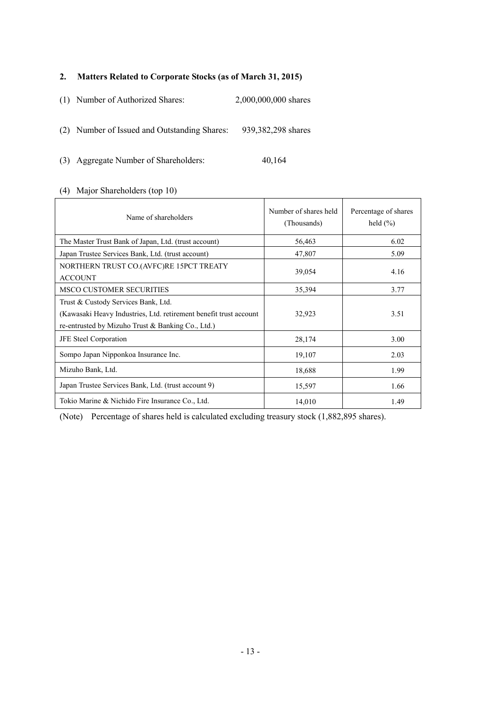### **2. Matters Related to Corporate Stocks (as of March 31, 2015)**

(1) Number of Authorized Shares: 2,000,000,000 shares

(2) Number of Issued and Outstanding Shares: 939,382,298 shares

(3) Aggregate Number of Shareholders: 40,164

### (4) Major Shareholders (top 10)

| Name of shareholders                                                                                                                                             | Number of shares held<br>(Thousands) | Percentage of shares<br>held $(\% )$ |
|------------------------------------------------------------------------------------------------------------------------------------------------------------------|--------------------------------------|--------------------------------------|
| The Master Trust Bank of Japan, Ltd. (trust account)                                                                                                             | 56,463                               | 6.02                                 |
| Japan Trustee Services Bank, Ltd. (trust account)                                                                                                                | 47,807                               | 5.09                                 |
| NORTHERN TRUST CO.(AVFC)RE 15PCT TREATY<br><b>ACCOUNT</b>                                                                                                        | 39,054                               | 4.16                                 |
| <b>MSCO CUSTOMER SECURITIES</b>                                                                                                                                  | 35,394                               | 3.77                                 |
| Trust & Custody Services Bank, Ltd.<br>(Kawasaki Heavy Industries, Ltd. retirement benefit trust account<br>re-entrusted by Mizuho Trust $\&$ Banking Co., Ltd.) | 32,923                               | 3.51                                 |
| JFE Steel Corporation                                                                                                                                            | 28,174                               | 3.00                                 |
| Sompo Japan Nipponkoa Insurance Inc.                                                                                                                             | 19,107                               | 2.03                                 |
| Mizuho Bank, Ltd.                                                                                                                                                | 18,688                               | 1.99                                 |
| Japan Trustee Services Bank, Ltd. (trust account 9)                                                                                                              | 15,597                               | 1.66                                 |
| Tokio Marine & Nichido Fire Insurance Co., Ltd.                                                                                                                  | 14,010                               | 1.49                                 |

(Note) Percentage of shares held is calculated excluding treasury stock (1,882,895 shares).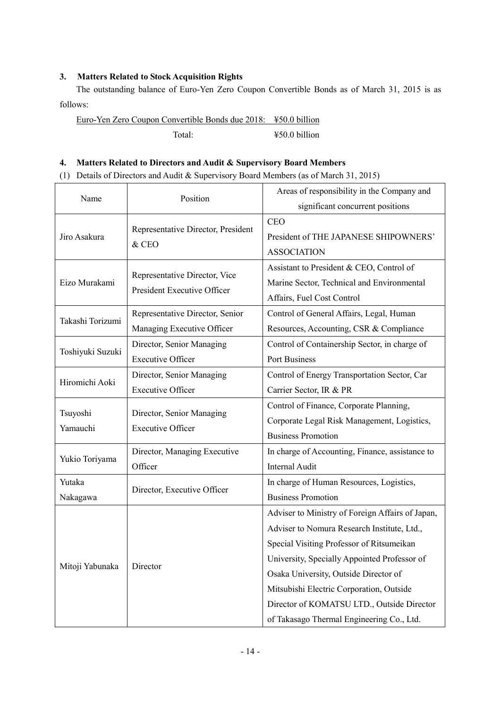### **3. Matters Related to Stock Acquisition Rights**

The outstanding balance of Euro-Yen Zero Coupon Convertible Bonds as of March 31, 2015 is as follows:

Euro-Yen Zero Coupon Convertible Bonds due 2018: ¥50.0 billion Total: ¥50.0 billion

### **4. Matters Related to Directors and Audit & Supervisory Board Members**

(1) Details of Directors and Audit & Supervisory Board Members (as of March 31, 2015)

| Name             | Position                                                     | Areas of responsibility in the Company and       |  |  |
|------------------|--------------------------------------------------------------|--------------------------------------------------|--|--|
|                  |                                                              | significant concurrent positions                 |  |  |
|                  | Representative Director, President                           | <b>CEO</b>                                       |  |  |
| Jiro Asakura     | & CEO                                                        | President of THE JAPANESE SHIPOWNERS'            |  |  |
|                  |                                                              | <b>ASSOCIATION</b>                               |  |  |
|                  |                                                              | Assistant to President & CEO, Control of         |  |  |
| Eizo Murakami    | Representative Director, Vice<br>President Executive Officer | Marine Sector, Technical and Environmental       |  |  |
|                  |                                                              | Affairs, Fuel Cost Control                       |  |  |
|                  | Representative Director, Senior                              | Control of General Affairs, Legal, Human         |  |  |
| Takashi Torizumi | Managing Executive Officer                                   | Resources, Accounting, CSR & Compliance          |  |  |
|                  | Director, Senior Managing                                    | Control of Containership Sector, in charge of    |  |  |
| Toshiyuki Suzuki | <b>Executive Officer</b>                                     | <b>Port Business</b>                             |  |  |
| Hiromichi Aoki   | Director, Senior Managing                                    | Control of Energy Transportation Sector, Car     |  |  |
|                  | <b>Executive Officer</b>                                     | Carrier Sector, IR & PR                          |  |  |
|                  |                                                              | Control of Finance, Corporate Planning,          |  |  |
| Tsuyoshi         | Director, Senior Managing                                    | Corporate Legal Risk Management, Logistics,      |  |  |
| Yamauchi         | <b>Executive Officer</b>                                     | <b>Business Promotion</b>                        |  |  |
|                  | Director, Managing Executive                                 | In charge of Accounting, Finance, assistance to  |  |  |
| Yukio Toriyama   | Officer                                                      | <b>Internal Audit</b>                            |  |  |
| Yutaka           |                                                              | In charge of Human Resources, Logistics,         |  |  |
| Nakagawa         | Director, Executive Officer                                  | <b>Business Promotion</b>                        |  |  |
|                  |                                                              | Adviser to Ministry of Foreign Affairs of Japan, |  |  |
|                  |                                                              | Adviser to Nomura Research Institute, Ltd.,      |  |  |
|                  |                                                              | Special Visiting Professor of Ritsumeikan        |  |  |
| Mitoji Yabunaka  |                                                              | University, Specially Appointed Professor of     |  |  |
|                  | Director                                                     | Osaka University, Outside Director of            |  |  |
|                  |                                                              | Mitsubishi Electric Corporation, Outside         |  |  |
|                  |                                                              | Director of KOMATSU LTD., Outside Director       |  |  |
|                  |                                                              | of Takasago Thermal Engineering Co., Ltd.        |  |  |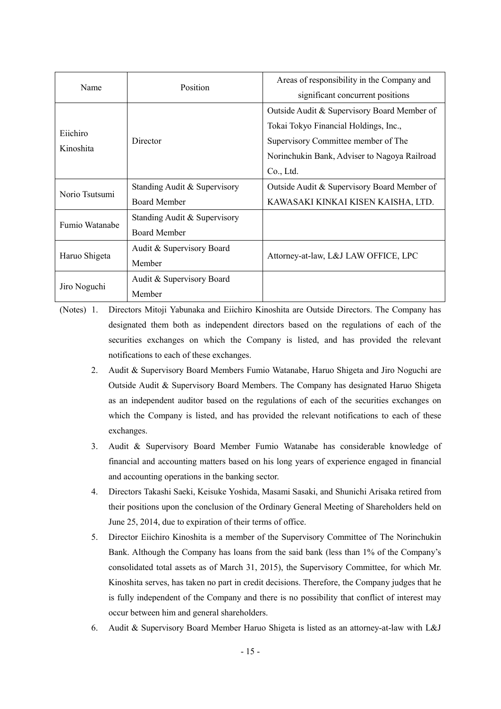| Name           | Position                     | Areas of responsibility in the Company and   |  |
|----------------|------------------------------|----------------------------------------------|--|
|                |                              | significant concurrent positions             |  |
|                |                              | Outside Audit & Supervisory Board Member of  |  |
| Eiichiro       |                              | Tokai Tokyo Financial Holdings, Inc.,        |  |
|                | Director                     | Supervisory Committee member of The          |  |
| Kinoshita      |                              | Norinchukin Bank, Adviser to Nagoya Railroad |  |
|                |                              | Co., Ltd.                                    |  |
|                | Standing Audit & Supervisory | Outside Audit & Supervisory Board Member of  |  |
| Norio Tsutsumi | <b>Board Member</b>          | KAWASAKI KINKAI KISEN KAISHA, LTD.           |  |
|                | Standing Audit & Supervisory |                                              |  |
| Fumio Watanabe | <b>Board Member</b>          |                                              |  |
|                | Audit & Supervisory Board    |                                              |  |
| Haruo Shigeta  | Member                       | Attorney-at-law, L&J LAW OFFICE, LPC         |  |
|                | Audit & Supervisory Board    |                                              |  |
| Jiro Noguchi   | Member                       |                                              |  |

(Notes) 1. Directors Mitoji Yabunaka and Eiichiro Kinoshita are Outside Directors. The Company has designated them both as independent directors based on the regulations of each of the securities exchanges on which the Company is listed, and has provided the relevant notifications to each of these exchanges.

- 2. Audit & Supervisory Board Members Fumio Watanabe, Haruo Shigeta and Jiro Noguchi are Outside Audit & Supervisory Board Members. The Company has designated Haruo Shigeta as an independent auditor based on the regulations of each of the securities exchanges on which the Company is listed, and has provided the relevant notifications to each of these exchanges.
- 3. Audit & Supervisory Board Member Fumio Watanabe has considerable knowledge of financial and accounting matters based on his long years of experience engaged in financial and accounting operations in the banking sector.
- 4. Directors Takashi Saeki, Keisuke Yoshida, Masami Sasaki, and Shunichi Arisaka retired from their positions upon the conclusion of the Ordinary General Meeting of Shareholders held on June 25, 2014, due to expiration of their terms of office.
- 5. Director Eiichiro Kinoshita is a member of the Supervisory Committee of The Norinchukin Bank. Although the Company has loans from the said bank (less than 1% of the Company's consolidated total assets as of March 31, 2015), the Supervisory Committee, for which Mr. Kinoshita serves, has taken no part in credit decisions. Therefore, the Company judges that he is fully independent of the Company and there is no possibility that conflict of interest may occur between him and general shareholders.
- 6. Audit & Supervisory Board Member Haruo Shigeta is listed as an attorney-at-law with L&J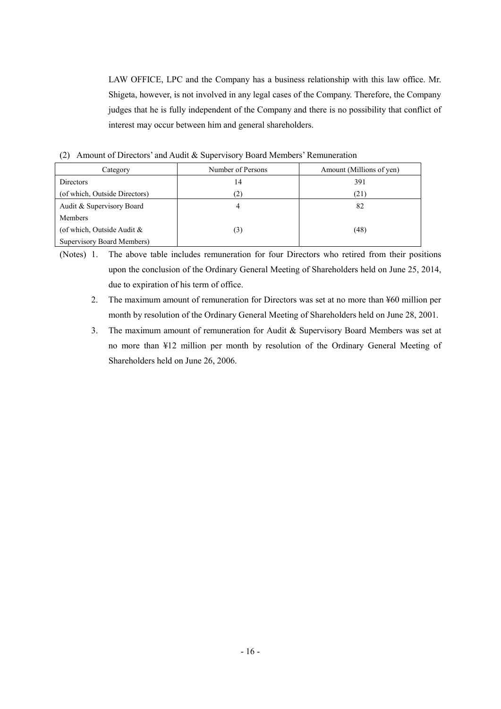LAW OFFICE, LPC and the Company has a business relationship with this law office. Mr. Shigeta, however, is not involved in any legal cases of the Company. Therefore, the Company judges that he is fully independent of the Company and there is no possibility that conflict of interest may occur between him and general shareholders.

(2) Amount of Directors' and Audit & Supervisory Board Members' Remuneration

| Category                      | Number of Persons     | Amount (Millions of yen) |
|-------------------------------|-----------------------|--------------------------|
| Directors                     | 14                    | 391                      |
| (of which, Outside Directors) | $\mathbf{2}^{\prime}$ | (21)                     |
| Audit & Supervisory Board     |                       | 82                       |
| Members                       |                       |                          |
| (of which, Outside Audit $\&$ | (3)                   | (48)                     |
| Supervisory Board Members)    |                       |                          |

(Notes) 1. The above table includes remuneration for four Directors who retired from their positions upon the conclusion of the Ordinary General Meeting of Shareholders held on June 25, 2014, due to expiration of his term of office.

- 2. The maximum amount of remuneration for Directors was set at no more than ¥60 million per month by resolution of the Ordinary General Meeting of Shareholders held on June 28, 2001.
- 3. The maximum amount of remuneration for Audit & Supervisory Board Members was set at no more than ¥12 million per month by resolution of the Ordinary General Meeting of Shareholders held on June 26, 2006.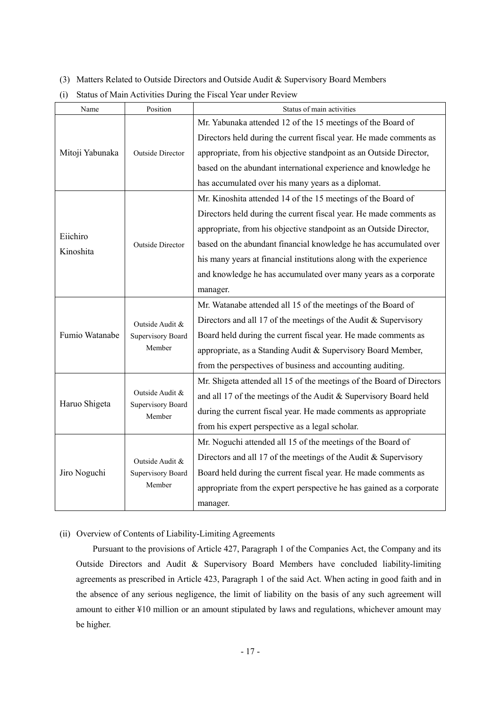- (3) Matters Related to Outside Directors and Outside Audit & Supervisory Board Members
- (i) Status of Main Activities During the Fiscal Year under Review

| Name            | Position                    | Status of main activities                                             |
|-----------------|-----------------------------|-----------------------------------------------------------------------|
|                 |                             | Mr. Yabunaka attended 12 of the 15 meetings of the Board of           |
|                 |                             | Directors held during the current fiscal year. He made comments as    |
| Mitoji Yabunaka | <b>Outside Director</b>     | appropriate, from his objective standpoint as an Outside Director,    |
|                 |                             | based on the abundant international experience and knowledge he       |
|                 |                             | has accumulated over his many years as a diplomat.                    |
|                 |                             | Mr. Kinoshita attended 14 of the 15 meetings of the Board of          |
|                 |                             | Directors held during the current fiscal year. He made comments as    |
| Eiichiro        |                             | appropriate, from his objective standpoint as an Outside Director,    |
| Kinoshita       | <b>Outside Director</b>     | based on the abundant financial knowledge he has accumulated over     |
|                 |                             | his many years at financial institutions along with the experience    |
|                 |                             | and knowledge he has accumulated over many years as a corporate       |
|                 |                             | manager.                                                              |
|                 | Outside Audit &             | Mr. Watanabe attended all 15 of the meetings of the Board of          |
|                 |                             | Directors and all 17 of the meetings of the Audit $&$ Supervisory     |
| Fumio Watanabe  | Supervisory Board           | Board held during the current fiscal year. He made comments as        |
|                 | Member                      | appropriate, as a Standing Audit & Supervisory Board Member,          |
|                 |                             | from the perspectives of business and accounting auditing.            |
|                 |                             | Mr. Shigeta attended all 15 of the meetings of the Board of Directors |
| Haruo Shigeta   | Outside Audit &             | and all 17 of the meetings of the Audit & Supervisory Board held      |
|                 | Supervisory Board<br>Member | during the current fiscal year. He made comments as appropriate       |
|                 |                             | from his expert perspective as a legal scholar.                       |
|                 |                             | Mr. Noguchi attended all 15 of the meetings of the Board of           |
|                 | Outside Audit &             | Directors and all 17 of the meetings of the Audit $&$ Supervisory     |
| Jiro Noguchi    | Supervisory Board           | Board held during the current fiscal year. He made comments as        |
|                 | Member                      | appropriate from the expert perspective he has gained as a corporate  |
|                 |                             | manager.                                                              |

### (ii) Overview of Contents of Liability-Limiting Agreements

Pursuant to the provisions of Article 427, Paragraph 1 of the Companies Act, the Company and its Outside Directors and Audit & Supervisory Board Members have concluded liability-limiting agreements as prescribed in Article 423, Paragraph 1 of the said Act. When acting in good faith and in the absence of any serious negligence, the limit of liability on the basis of any such agreement will amount to either ¥10 million or an amount stipulated by laws and regulations, whichever amount may be higher.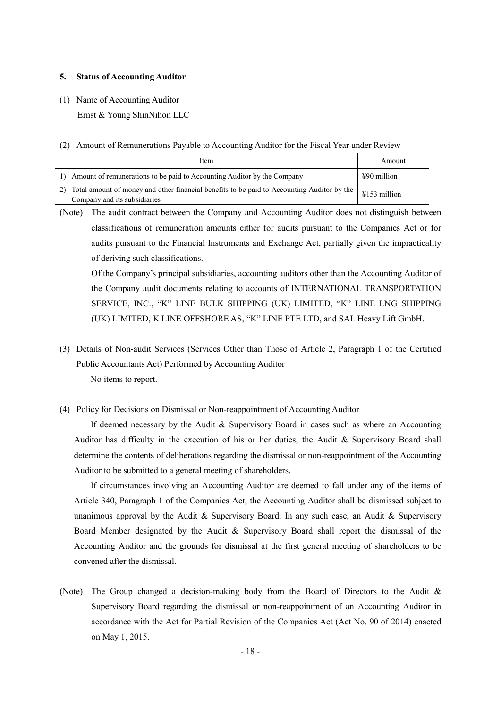#### **5. Status of Accounting Auditor**

- (1) Name of Accounting Auditor Ernst & Young ShinNihon LLC
- (2) Amount of Remunerations Payable to Accounting Auditor for the Fiscal Year under Review

| Item                                                                                                                          | Amount                 |
|-------------------------------------------------------------------------------------------------------------------------------|------------------------|
| Amount of remunerations to be paid to Accounting Auditor by the Company<br>1)                                                 | $\text{\#90}$ million  |
| 2) Total amount of money and other financial benefits to be paid to Accounting Auditor by the<br>Company and its subsidiaries | $\text{\#}153$ million |

(Note) The audit contract between the Company and Accounting Auditor does not distinguish between classifications of remuneration amounts either for audits pursuant to the Companies Act or for audits pursuant to the Financial Instruments and Exchange Act, partially given the impracticality of deriving such classifications.

Of the Company's principal subsidiaries, accounting auditors other than the Accounting Auditor of the Company audit documents relating to accounts of INTERNATIONAL TRANSPORTATION SERVICE, INC., "K" LINE BULK SHIPPING (UK) LIMITED, "K" LINE LNG SHIPPING (UK) LIMITED, K LINE OFFSHORE AS, "K" LINE PTE LTD, and SAL Heavy Lift GmbH.

- (3) Details of Non-audit Services (Services Other than Those of Article 2, Paragraph 1 of the Certified Public Accountants Act) Performed by Accounting Auditor No items to report.
- (4) Policy for Decisions on Dismissal or Non-reappointment of Accounting Auditor

If deemed necessary by the Audit & Supervisory Board in cases such as where an Accounting Auditor has difficulty in the execution of his or her duties, the Audit & Supervisory Board shall determine the contents of deliberations regarding the dismissal or non-reappointment of the Accounting Auditor to be submitted to a general meeting of shareholders.

If circumstances involving an Accounting Auditor are deemed to fall under any of the items of Article 340, Paragraph 1 of the Companies Act, the Accounting Auditor shall be dismissed subject to unanimous approval by the Audit & Supervisory Board. In any such case, an Audit & Supervisory Board Member designated by the Audit & Supervisory Board shall report the dismissal of the Accounting Auditor and the grounds for dismissal at the first general meeting of shareholders to be convened after the dismissal.

(Note) The Group changed a decision-making body from the Board of Directors to the Audit & Supervisory Board regarding the dismissal or non-reappointment of an Accounting Auditor in accordance with the Act for Partial Revision of the Companies Act (Act No. 90 of 2014) enacted on May 1, 2015.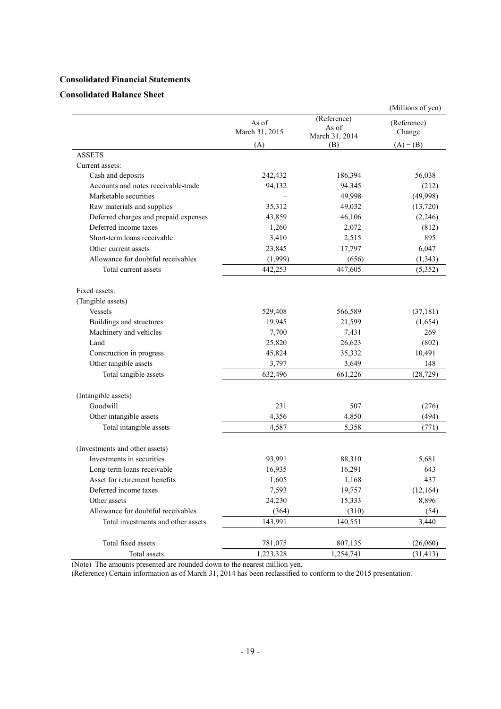### **Consolidated Financial Statements**

### **Consolidated Balance Sheet**

| (Reference)<br>As of<br>(Reference)<br>As of<br>March 31, 2015<br>Change<br>March 31, 2014<br>(A)<br>$(A) - (B)$<br>(B)<br><b>ASSETS</b><br>Current assets:<br>Cash and deposits<br>242,432<br>186,394<br>56,038<br>Accounts and notes receivable-trade<br>94,132<br>94,345<br>(212)<br>Marketable securities<br>49,998<br>(49,998)<br>Raw materials and supplies<br>35,312<br>49,032<br>(13,720)<br>Deferred charges and prepaid expenses<br>43,859<br>46,106<br>(2,246)<br>Deferred income taxes<br>2,072<br>1,260<br>(812)<br>Short-term loans receivable<br>3,410<br>2,515<br>895<br>Other current assets<br>23,845<br>17,797<br>6,047<br>Allowance for doubtful receivables<br>(1,999)<br>(656)<br>(1, 343)<br>Total current assets<br>442,253<br>447,605<br>(5,352)<br>Fixed assets:<br>(Tangible assets)<br>Vessels<br>529,408<br>566,589<br>(37, 181)<br>Buildings and structures<br>19,945<br>21,599<br>(1,654)<br>269<br>Machinery and vehicles<br>7,700<br>7,431<br>Land<br>26,623<br>25,820<br>(802)<br>Construction in progress<br>45,824<br>35,332<br>10,491<br>Other tangible assets<br>3,649<br>3,797<br>148<br>Total tangible assets<br>661,226<br>(28, 729)<br>632,496<br>(Intangible assets)<br>Goodwill<br>231<br>507<br>(276)<br>(494)<br>Other intangible assets<br>4,356<br>4,850<br>Total intangible assets<br>4,587<br>5,358<br>(771)<br>(Investments and other assets)<br>Investments in securities<br>93,991<br>88,310<br>5,681<br>Long-term loans receivable<br>16,935<br>16,291<br>643<br>437<br>Asset for retirement benefits<br>1,605<br>1,168<br>Deferred income taxes<br>7,593<br>19,757<br>(12, 164)<br>Other assets<br>24,230<br>15,333<br>8,896<br>Allowance for doubtful receivables<br>(310)<br>(364)<br>(54)<br>3,440<br>Total investments and other assets<br>143,991<br>140,551<br>Total fixed assets<br>781,075<br>807,135<br>(26,060)<br>Total assets<br>1,223,328<br>1,254,741<br>(31, 413) |  | (Millions of yen) |
|-----------------------------------------------------------------------------------------------------------------------------------------------------------------------------------------------------------------------------------------------------------------------------------------------------------------------------------------------------------------------------------------------------------------------------------------------------------------------------------------------------------------------------------------------------------------------------------------------------------------------------------------------------------------------------------------------------------------------------------------------------------------------------------------------------------------------------------------------------------------------------------------------------------------------------------------------------------------------------------------------------------------------------------------------------------------------------------------------------------------------------------------------------------------------------------------------------------------------------------------------------------------------------------------------------------------------------------------------------------------------------------------------------------------------------------------------------------------------------------------------------------------------------------------------------------------------------------------------------------------------------------------------------------------------------------------------------------------------------------------------------------------------------------------------------------------------------------------------------------------------------------------------------------------------------------------|--|-------------------|
|                                                                                                                                                                                                                                                                                                                                                                                                                                                                                                                                                                                                                                                                                                                                                                                                                                                                                                                                                                                                                                                                                                                                                                                                                                                                                                                                                                                                                                                                                                                                                                                                                                                                                                                                                                                                                                                                                                                                         |  |                   |
|                                                                                                                                                                                                                                                                                                                                                                                                                                                                                                                                                                                                                                                                                                                                                                                                                                                                                                                                                                                                                                                                                                                                                                                                                                                                                                                                                                                                                                                                                                                                                                                                                                                                                                                                                                                                                                                                                                                                         |  |                   |
|                                                                                                                                                                                                                                                                                                                                                                                                                                                                                                                                                                                                                                                                                                                                                                                                                                                                                                                                                                                                                                                                                                                                                                                                                                                                                                                                                                                                                                                                                                                                                                                                                                                                                                                                                                                                                                                                                                                                         |  |                   |
|                                                                                                                                                                                                                                                                                                                                                                                                                                                                                                                                                                                                                                                                                                                                                                                                                                                                                                                                                                                                                                                                                                                                                                                                                                                                                                                                                                                                                                                                                                                                                                                                                                                                                                                                                                                                                                                                                                                                         |  |                   |
|                                                                                                                                                                                                                                                                                                                                                                                                                                                                                                                                                                                                                                                                                                                                                                                                                                                                                                                                                                                                                                                                                                                                                                                                                                                                                                                                                                                                                                                                                                                                                                                                                                                                                                                                                                                                                                                                                                                                         |  |                   |
|                                                                                                                                                                                                                                                                                                                                                                                                                                                                                                                                                                                                                                                                                                                                                                                                                                                                                                                                                                                                                                                                                                                                                                                                                                                                                                                                                                                                                                                                                                                                                                                                                                                                                                                                                                                                                                                                                                                                         |  |                   |
|                                                                                                                                                                                                                                                                                                                                                                                                                                                                                                                                                                                                                                                                                                                                                                                                                                                                                                                                                                                                                                                                                                                                                                                                                                                                                                                                                                                                                                                                                                                                                                                                                                                                                                                                                                                                                                                                                                                                         |  |                   |
|                                                                                                                                                                                                                                                                                                                                                                                                                                                                                                                                                                                                                                                                                                                                                                                                                                                                                                                                                                                                                                                                                                                                                                                                                                                                                                                                                                                                                                                                                                                                                                                                                                                                                                                                                                                                                                                                                                                                         |  |                   |
|                                                                                                                                                                                                                                                                                                                                                                                                                                                                                                                                                                                                                                                                                                                                                                                                                                                                                                                                                                                                                                                                                                                                                                                                                                                                                                                                                                                                                                                                                                                                                                                                                                                                                                                                                                                                                                                                                                                                         |  |                   |
|                                                                                                                                                                                                                                                                                                                                                                                                                                                                                                                                                                                                                                                                                                                                                                                                                                                                                                                                                                                                                                                                                                                                                                                                                                                                                                                                                                                                                                                                                                                                                                                                                                                                                                                                                                                                                                                                                                                                         |  |                   |
|                                                                                                                                                                                                                                                                                                                                                                                                                                                                                                                                                                                                                                                                                                                                                                                                                                                                                                                                                                                                                                                                                                                                                                                                                                                                                                                                                                                                                                                                                                                                                                                                                                                                                                                                                                                                                                                                                                                                         |  |                   |
|                                                                                                                                                                                                                                                                                                                                                                                                                                                                                                                                                                                                                                                                                                                                                                                                                                                                                                                                                                                                                                                                                                                                                                                                                                                                                                                                                                                                                                                                                                                                                                                                                                                                                                                                                                                                                                                                                                                                         |  |                   |
|                                                                                                                                                                                                                                                                                                                                                                                                                                                                                                                                                                                                                                                                                                                                                                                                                                                                                                                                                                                                                                                                                                                                                                                                                                                                                                                                                                                                                                                                                                                                                                                                                                                                                                                                                                                                                                                                                                                                         |  |                   |
|                                                                                                                                                                                                                                                                                                                                                                                                                                                                                                                                                                                                                                                                                                                                                                                                                                                                                                                                                                                                                                                                                                                                                                                                                                                                                                                                                                                                                                                                                                                                                                                                                                                                                                                                                                                                                                                                                                                                         |  |                   |
|                                                                                                                                                                                                                                                                                                                                                                                                                                                                                                                                                                                                                                                                                                                                                                                                                                                                                                                                                                                                                                                                                                                                                                                                                                                                                                                                                                                                                                                                                                                                                                                                                                                                                                                                                                                                                                                                                                                                         |  |                   |
|                                                                                                                                                                                                                                                                                                                                                                                                                                                                                                                                                                                                                                                                                                                                                                                                                                                                                                                                                                                                                                                                                                                                                                                                                                                                                                                                                                                                                                                                                                                                                                                                                                                                                                                                                                                                                                                                                                                                         |  |                   |
|                                                                                                                                                                                                                                                                                                                                                                                                                                                                                                                                                                                                                                                                                                                                                                                                                                                                                                                                                                                                                                                                                                                                                                                                                                                                                                                                                                                                                                                                                                                                                                                                                                                                                                                                                                                                                                                                                                                                         |  |                   |
|                                                                                                                                                                                                                                                                                                                                                                                                                                                                                                                                                                                                                                                                                                                                                                                                                                                                                                                                                                                                                                                                                                                                                                                                                                                                                                                                                                                                                                                                                                                                                                                                                                                                                                                                                                                                                                                                                                                                         |  |                   |
|                                                                                                                                                                                                                                                                                                                                                                                                                                                                                                                                                                                                                                                                                                                                                                                                                                                                                                                                                                                                                                                                                                                                                                                                                                                                                                                                                                                                                                                                                                                                                                                                                                                                                                                                                                                                                                                                                                                                         |  |                   |
|                                                                                                                                                                                                                                                                                                                                                                                                                                                                                                                                                                                                                                                                                                                                                                                                                                                                                                                                                                                                                                                                                                                                                                                                                                                                                                                                                                                                                                                                                                                                                                                                                                                                                                                                                                                                                                                                                                                                         |  |                   |
|                                                                                                                                                                                                                                                                                                                                                                                                                                                                                                                                                                                                                                                                                                                                                                                                                                                                                                                                                                                                                                                                                                                                                                                                                                                                                                                                                                                                                                                                                                                                                                                                                                                                                                                                                                                                                                                                                                                                         |  |                   |
|                                                                                                                                                                                                                                                                                                                                                                                                                                                                                                                                                                                                                                                                                                                                                                                                                                                                                                                                                                                                                                                                                                                                                                                                                                                                                                                                                                                                                                                                                                                                                                                                                                                                                                                                                                                                                                                                                                                                         |  |                   |
|                                                                                                                                                                                                                                                                                                                                                                                                                                                                                                                                                                                                                                                                                                                                                                                                                                                                                                                                                                                                                                                                                                                                                                                                                                                                                                                                                                                                                                                                                                                                                                                                                                                                                                                                                                                                                                                                                                                                         |  |                   |
|                                                                                                                                                                                                                                                                                                                                                                                                                                                                                                                                                                                                                                                                                                                                                                                                                                                                                                                                                                                                                                                                                                                                                                                                                                                                                                                                                                                                                                                                                                                                                                                                                                                                                                                                                                                                                                                                                                                                         |  |                   |
|                                                                                                                                                                                                                                                                                                                                                                                                                                                                                                                                                                                                                                                                                                                                                                                                                                                                                                                                                                                                                                                                                                                                                                                                                                                                                                                                                                                                                                                                                                                                                                                                                                                                                                                                                                                                                                                                                                                                         |  |                   |
|                                                                                                                                                                                                                                                                                                                                                                                                                                                                                                                                                                                                                                                                                                                                                                                                                                                                                                                                                                                                                                                                                                                                                                                                                                                                                                                                                                                                                                                                                                                                                                                                                                                                                                                                                                                                                                                                                                                                         |  |                   |
|                                                                                                                                                                                                                                                                                                                                                                                                                                                                                                                                                                                                                                                                                                                                                                                                                                                                                                                                                                                                                                                                                                                                                                                                                                                                                                                                                                                                                                                                                                                                                                                                                                                                                                                                                                                                                                                                                                                                         |  |                   |
|                                                                                                                                                                                                                                                                                                                                                                                                                                                                                                                                                                                                                                                                                                                                                                                                                                                                                                                                                                                                                                                                                                                                                                                                                                                                                                                                                                                                                                                                                                                                                                                                                                                                                                                                                                                                                                                                                                                                         |  |                   |
|                                                                                                                                                                                                                                                                                                                                                                                                                                                                                                                                                                                                                                                                                                                                                                                                                                                                                                                                                                                                                                                                                                                                                                                                                                                                                                                                                                                                                                                                                                                                                                                                                                                                                                                                                                                                                                                                                                                                         |  |                   |
|                                                                                                                                                                                                                                                                                                                                                                                                                                                                                                                                                                                                                                                                                                                                                                                                                                                                                                                                                                                                                                                                                                                                                                                                                                                                                                                                                                                                                                                                                                                                                                                                                                                                                                                                                                                                                                                                                                                                         |  |                   |
|                                                                                                                                                                                                                                                                                                                                                                                                                                                                                                                                                                                                                                                                                                                                                                                                                                                                                                                                                                                                                                                                                                                                                                                                                                                                                                                                                                                                                                                                                                                                                                                                                                                                                                                                                                                                                                                                                                                                         |  |                   |
|                                                                                                                                                                                                                                                                                                                                                                                                                                                                                                                                                                                                                                                                                                                                                                                                                                                                                                                                                                                                                                                                                                                                                                                                                                                                                                                                                                                                                                                                                                                                                                                                                                                                                                                                                                                                                                                                                                                                         |  |                   |
|                                                                                                                                                                                                                                                                                                                                                                                                                                                                                                                                                                                                                                                                                                                                                                                                                                                                                                                                                                                                                                                                                                                                                                                                                                                                                                                                                                                                                                                                                                                                                                                                                                                                                                                                                                                                                                                                                                                                         |  |                   |
|                                                                                                                                                                                                                                                                                                                                                                                                                                                                                                                                                                                                                                                                                                                                                                                                                                                                                                                                                                                                                                                                                                                                                                                                                                                                                                                                                                                                                                                                                                                                                                                                                                                                                                                                                                                                                                                                                                                                         |  |                   |
|                                                                                                                                                                                                                                                                                                                                                                                                                                                                                                                                                                                                                                                                                                                                                                                                                                                                                                                                                                                                                                                                                                                                                                                                                                                                                                                                                                                                                                                                                                                                                                                                                                                                                                                                                                                                                                                                                                                                         |  |                   |
|                                                                                                                                                                                                                                                                                                                                                                                                                                                                                                                                                                                                                                                                                                                                                                                                                                                                                                                                                                                                                                                                                                                                                                                                                                                                                                                                                                                                                                                                                                                                                                                                                                                                                                                                                                                                                                                                                                                                         |  |                   |
|                                                                                                                                                                                                                                                                                                                                                                                                                                                                                                                                                                                                                                                                                                                                                                                                                                                                                                                                                                                                                                                                                                                                                                                                                                                                                                                                                                                                                                                                                                                                                                                                                                                                                                                                                                                                                                                                                                                                         |  |                   |
|                                                                                                                                                                                                                                                                                                                                                                                                                                                                                                                                                                                                                                                                                                                                                                                                                                                                                                                                                                                                                                                                                                                                                                                                                                                                                                                                                                                                                                                                                                                                                                                                                                                                                                                                                                                                                                                                                                                                         |  |                   |

(Note) The amounts presented are rounded down to the nearest million yen.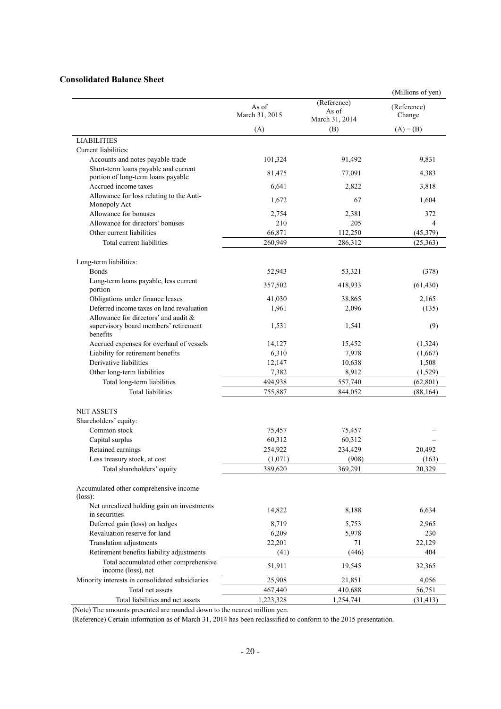## **Consolidated Balance Sheet**

|                                                             |                         |                                        | (Millions of yen)     |
|-------------------------------------------------------------|-------------------------|----------------------------------------|-----------------------|
|                                                             | As of<br>March 31, 2015 | (Reference)<br>As of<br>March 31, 2014 | (Reference)<br>Change |
|                                                             | (A)                     | (B)                                    | $(A) - (B)$           |
| <b>LIABILITIES</b>                                          |                         |                                        |                       |
| Current liabilities:                                        |                         |                                        |                       |
| Accounts and notes payable-trade                            | 101,324                 | 91,492                                 | 9,831                 |
| Short-term loans payable and current                        |                         |                                        |                       |
| portion of long-term loans payable                          | 81,475                  | 77,091                                 | 4,383                 |
| Accrued income taxes                                        | 6,641                   | 2,822                                  | 3,818                 |
| Allowance for loss relating to the Anti-<br>Monopoly Act    | 1,672                   | 67                                     | 1,604                 |
| Allowance for bonuses                                       | 2,754                   | 2,381                                  | 372                   |
| Allowance for directors' bonuses                            | 210                     | 205                                    | 4                     |
| Other current liabilities                                   | 66,871                  | 112,250                                | (45,379)              |
| Total current liabilities                                   | 260,949                 | 286,312                                | (25, 363)             |
|                                                             |                         |                                        |                       |
| Long-term liabilities:<br><b>B</b> onds                     | 52,943                  | 53,321                                 |                       |
| Long-term loans payable, less current                       |                         |                                        | (378)                 |
| portion                                                     | 357,502                 | 418,933                                | (61, 430)             |
| Obligations under finance leases                            | 41,030                  | 38,865                                 | 2,165                 |
| Deferred income taxes on land revaluation                   | 1,961                   | 2,096                                  | (135)                 |
| Allowance for directors' and audit &                        |                         |                                        |                       |
| supervisory board members' retirement<br>benefits           | 1,531                   | 1,541                                  | (9)                   |
| Accrued expenses for overhaul of vessels                    | 14,127                  | 15,452                                 | (1,324)               |
| Liability for retirement benefits                           | 6,310                   | 7,978                                  | (1,667)               |
| Derivative liabilities                                      | 12,147                  | 10,638                                 | 1,508                 |
| Other long-term liabilities                                 | 7,382                   | 8,912                                  | (1,529)               |
| Total long-term liabilities                                 | 494,938                 | 557,740                                | (62, 801)             |
| <b>Total liabilities</b>                                    | 755,887                 | 844,052                                | (88, 164)             |
| <b>NET ASSETS</b>                                           |                         |                                        |                       |
| Shareholders' equity:                                       |                         |                                        |                       |
| Common stock                                                | 75,457                  | 75,457                                 |                       |
| Capital surplus                                             | 60,312                  | 60,312                                 |                       |
| Retained earnings                                           | 254,922                 | 234,429                                | 20,492                |
| Less treasury stock, at cost                                | (1,071)                 | (908)                                  | (163)                 |
| Total shareholders' equity                                  | 389,620                 | 369,291                                | 20,329                |
| Accumulated other comprehensive income<br>$(\text{loss})$ : |                         |                                        |                       |
| Net unrealized holding gain on investments                  | 14,822                  | 8,188                                  | 6,634                 |
| in securities                                               |                         |                                        |                       |
| Deferred gain (loss) on hedges                              | 8,719                   | 5,753                                  | 2,965                 |
| Revaluation reserve for land                                | 6,209                   | 5,978                                  | 230                   |
| Translation adjustments                                     | 22,201                  | 71                                     | 22,129                |
| Retirement benefits liability adjustments                   | (41)                    | (446)                                  | 404                   |
| Total accumulated other comprehensive<br>income (loss), net | 51,911                  | 19,545                                 | 32,365                |
| Minority interests in consolidated subsidiaries             | 25,908                  | 21,851                                 | 4,056                 |
| Total net assets                                            | 467,440                 | 410,688                                | 56,751                |
| Total liabilities and net assets                            | 1,223,328               | 1,254,741                              | (31, 413)             |

(Note) The amounts presented are rounded down to the nearest million yen.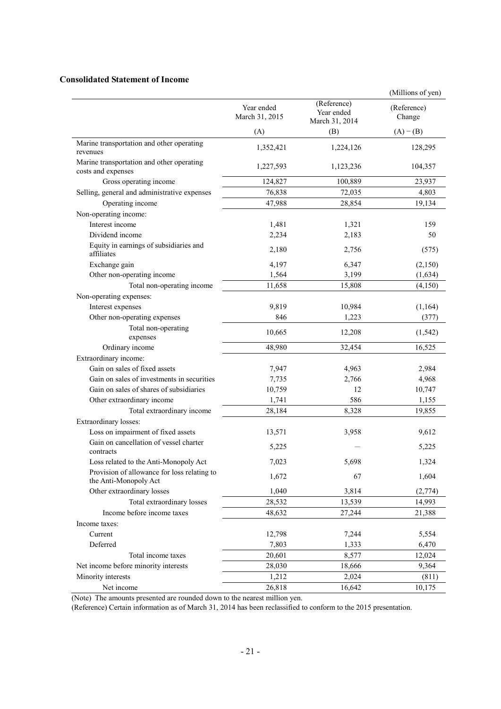### **Consolidated Statement of Income**

|                                                                      |                              |                                             | (Millions of yen)     |
|----------------------------------------------------------------------|------------------------------|---------------------------------------------|-----------------------|
|                                                                      | Year ended<br>March 31, 2015 | (Reference)<br>Year ended<br>March 31, 2014 | (Reference)<br>Change |
|                                                                      | (A)                          | (B)                                         | $(A) - (B)$           |
| Marine transportation and other operating<br>revenues                | 1,352,421                    | 1,224,126                                   | 128,295               |
| Marine transportation and other operating<br>costs and expenses      | 1,227,593                    | 1,123,236                                   | 104,357               |
| Gross operating income                                               | 124,827                      | 100,889                                     | 23,937                |
| Selling, general and administrative expenses                         | 76,838                       | 72,035                                      | 4,803                 |
| Operating income                                                     | 47,988                       | 28,854                                      | 19,134                |
| Non-operating income:                                                |                              |                                             |                       |
| Interest income                                                      | 1,481                        | 1,321                                       | 159                   |
| Dividend income                                                      | 2,234                        | 2,183                                       | 50                    |
| Equity in earnings of subsidiaries and<br>affiliates                 | 2,180                        | 2,756                                       | (575)                 |
| Exchange gain                                                        | 4,197                        | 6,347                                       | (2,150)               |
| Other non-operating income                                           | 1,564                        | 3,199                                       | (1, 634)              |
| Total non-operating income                                           | 11,658                       | 15,808                                      | (4,150)               |
| Non-operating expenses:                                              |                              |                                             |                       |
| Interest expenses                                                    | 9,819                        | 10,984                                      | (1,164)               |
| Other non-operating expenses                                         | 846                          | 1,223                                       | (377)                 |
| Total non-operating<br>expenses                                      | 10,665                       | 12,208                                      | (1, 542)              |
| Ordinary income                                                      | 48,980                       | 32,454                                      | 16,525                |
| Extraordinary income:                                                |                              |                                             |                       |
| Gain on sales of fixed assets                                        | 7,947                        | 4,963                                       | 2,984                 |
| Gain on sales of investments in securities                           | 7,735                        | 2,766                                       | 4,968                 |
| Gain on sales of shares of subsidiaries                              | 10,759                       | 12                                          | 10,747                |
| Other extraordinary income                                           | 1,741                        | 586                                         | 1,155                 |
| Total extraordinary income                                           | 28,184                       | 8,328                                       | 19,855                |
| Extraordinary losses:                                                |                              |                                             |                       |
| Loss on impairment of fixed assets                                   | 13,571                       | 3,958                                       | 9,612                 |
| Gain on cancellation of vessel charter<br>contracts                  | 5,225                        |                                             | 5,225                 |
| Loss related to the Anti-Monopoly Act                                | 7,023                        | 5,698                                       | 1,324                 |
| Provision of allowance for loss relating to<br>the Anti-Monopoly Act | 1,672                        | 67                                          | 1,604                 |
| Other extraordinary losses                                           | 1,040                        | 3,814                                       | (2,774)               |
| Total extraordinary losses                                           | 28,532                       | 13,539                                      | 14,993                |
| Income before income taxes                                           | 48,632                       | 27,244                                      | 21,388                |
| Income taxes:                                                        |                              |                                             |                       |
| Current                                                              | 12,798                       | 7,244                                       | 5,554                 |
| Deferred                                                             | 7,803                        | 1,333                                       | 6,470                 |
| Total income taxes                                                   | 20,601                       | 8,577                                       | 12,024                |
| Net income before minority interests                                 | 28,030                       | 18,666                                      | 9,364                 |
| Minority interests                                                   | 1,212                        | 2,024                                       | (811)                 |
| Net income                                                           | 26,818                       | 16,642                                      | 10,175                |

(Note) The amounts presented are rounded down to the nearest million yen.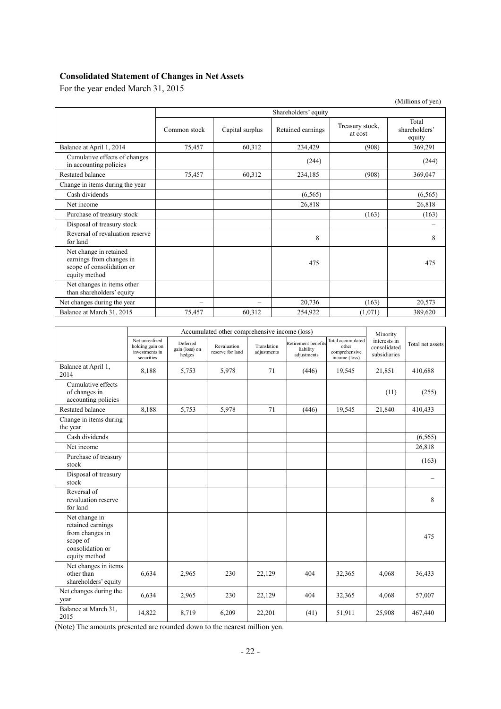# **Consolidated Statement of Changes in Net Assets**

For the year ended March 31, 2015

|                                                                                                  |                 |                      |                   |                            | (Millions of yen)                |  |  |  |
|--------------------------------------------------------------------------------------------------|-----------------|----------------------|-------------------|----------------------------|----------------------------------|--|--|--|
|                                                                                                  |                 | Shareholders' equity |                   |                            |                                  |  |  |  |
|                                                                                                  | Common stock    | Capital surplus      | Retained earnings | Treasury stock,<br>at cost | Total<br>shareholders'<br>equity |  |  |  |
| Balance at April 1, 2014                                                                         | 75,457          | 60,312               | 234,429           | (908)                      | 369,291                          |  |  |  |
| Cumulative effects of changes<br>in accounting policies                                          |                 |                      | (244)             |                            | (244)                            |  |  |  |
| Restated balance                                                                                 | 75,457          | 60,312               | 234,185           | (908)                      | 369,047                          |  |  |  |
| Change in items during the year                                                                  |                 |                      |                   |                            |                                  |  |  |  |
| Cash dividends                                                                                   |                 |                      | (6, 565)          |                            | (6, 565)                         |  |  |  |
| Net income                                                                                       |                 |                      | 26,818            |                            | 26,818                           |  |  |  |
| Purchase of treasury stock                                                                       |                 |                      |                   | (163)                      | (163)                            |  |  |  |
| Disposal of treasury stock                                                                       |                 |                      |                   |                            |                                  |  |  |  |
| Reversal of revaluation reserve<br>for land                                                      |                 |                      | 8                 |                            | 8                                |  |  |  |
| Net change in retained<br>earnings from changes in<br>scope of consolidation or<br>equity method |                 |                      | 475               |                            | 475                              |  |  |  |
| Net changes in items other<br>than shareholders' equity                                          |                 |                      |                   |                            |                                  |  |  |  |
| Net changes during the year                                                                      | $\qquad \qquad$ | -                    | 20,736            | (163)                      | 20,573                           |  |  |  |
| Balance at March 31, 2015                                                                        | 75,457          | 60,312               | 254,922           | (1,071)                    | 389,620                          |  |  |  |

|                                                                                                        | Accumulated other comprehensive income (loss)                     |                                      |                                 |                            |                                                 | Minority                                                     |                                              |                  |
|--------------------------------------------------------------------------------------------------------|-------------------------------------------------------------------|--------------------------------------|---------------------------------|----------------------------|-------------------------------------------------|--------------------------------------------------------------|----------------------------------------------|------------------|
|                                                                                                        | Net unrealized<br>holding gain on<br>investments in<br>securities | Deferred<br>gain (loss) on<br>hedges | Revaluation<br>reserve for land | Translation<br>adjustments | Retirement benefits<br>liability<br>adjustments | Total accumulated<br>other<br>comprehensive<br>income (loss) | interests in<br>consolidated<br>subsidiaries | Total net assets |
| Balance at April 1,<br>2014                                                                            | 8,188                                                             | 5,753                                | 5,978                           | 71                         | (446)                                           | 19,545                                                       | 21,851                                       | 410,688          |
| Cumulative effects<br>of changes in<br>accounting policies                                             |                                                                   |                                      |                                 |                            |                                                 |                                                              | (11)                                         | (255)            |
| <b>Restated balance</b>                                                                                | 8,188                                                             | 5,753                                | 5,978                           | 71                         | (446)                                           | 19,545                                                       | 21,840                                       | 410,433          |
| Change in items during<br>the year                                                                     |                                                                   |                                      |                                 |                            |                                                 |                                                              |                                              |                  |
| Cash dividends                                                                                         |                                                                   |                                      |                                 |                            |                                                 |                                                              |                                              | (6, 565)         |
| Net income                                                                                             |                                                                   |                                      |                                 |                            |                                                 |                                                              |                                              | 26,818           |
| Purchase of treasury<br>stock                                                                          |                                                                   |                                      |                                 |                            |                                                 |                                                              |                                              | (163)            |
| Disposal of treasury<br>stock                                                                          |                                                                   |                                      |                                 |                            |                                                 |                                                              |                                              |                  |
| Reversal of<br>revaluation reserve<br>for land                                                         |                                                                   |                                      |                                 |                            |                                                 |                                                              |                                              | 8                |
| Net change in<br>retained earnings<br>from changes in<br>scope of<br>consolidation or<br>equity method |                                                                   |                                      |                                 |                            |                                                 |                                                              |                                              | 475              |
| Net changes in items<br>other than<br>shareholders' equity                                             | 6,634                                                             | 2,965                                | 230                             | 22,129                     | 404                                             | 32,365                                                       | 4,068                                        | 36,433           |
| Net changes during the<br>year                                                                         | 6,634                                                             | 2,965                                | 230                             | 22,129                     | 404                                             | 32,365                                                       | 4,068                                        | 57,007           |
| Balance at March 31,<br>2015                                                                           | 14,822                                                            | 8,719                                | 6,209                           | 22,201                     | (41)                                            | 51,911                                                       | 25,908                                       | 467,440          |

(Note) The amounts presented are rounded down to the nearest million yen.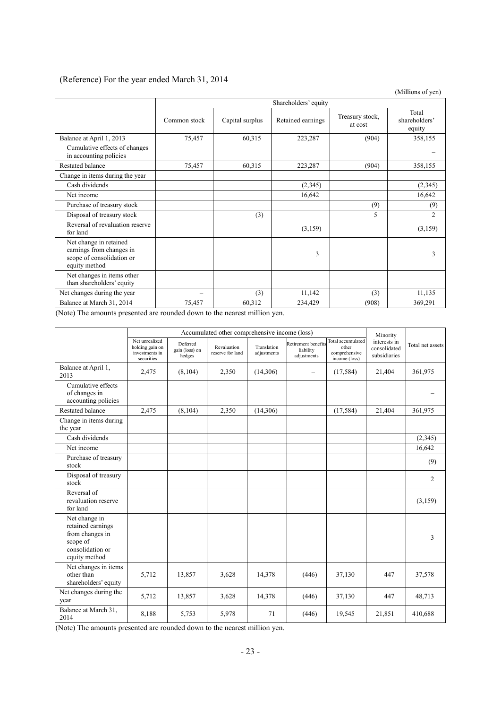## (Reference) For the year ended March 31, 2014

(Millions of yen)

|                                                                                                  |                          | Shareholders' equity |                   |                            |                                  |  |  |
|--------------------------------------------------------------------------------------------------|--------------------------|----------------------|-------------------|----------------------------|----------------------------------|--|--|
|                                                                                                  | Common stock             | Capital surplus      | Retained earnings | Treasury stock,<br>at cost | Total<br>shareholders'<br>equity |  |  |
| Balance at April 1, 2013                                                                         | 75,457                   | 60,315               | 223,287           | (904)                      | 358,155                          |  |  |
| Cumulative effects of changes<br>in accounting policies                                          |                          |                      |                   |                            |                                  |  |  |
| Restated balance                                                                                 | 75,457                   | 60,315               | 223,287           | (904)                      | 358,155                          |  |  |
| Change in items during the year                                                                  |                          |                      |                   |                            |                                  |  |  |
| Cash dividends                                                                                   |                          |                      | (2,345)           |                            | (2,345)                          |  |  |
| Net income                                                                                       |                          |                      | 16,642            |                            | 16,642                           |  |  |
| Purchase of treasury stock                                                                       |                          |                      |                   | (9)                        | (9)                              |  |  |
| Disposal of treasury stock                                                                       |                          | (3)                  |                   | 5                          | $\overline{c}$                   |  |  |
| Reversal of revaluation reserve<br>for land                                                      |                          |                      | (3,159)           |                            | (3,159)                          |  |  |
| Net change in retained<br>earnings from changes in<br>scope of consolidation or<br>equity method |                          |                      | 3                 |                            | 3                                |  |  |
| Net changes in items other<br>than shareholders' equity                                          |                          |                      |                   |                            |                                  |  |  |
| Net changes during the year                                                                      | $\overline{\phantom{0}}$ | (3)                  | 11,142            | (3)                        | 11,135                           |  |  |
| Balance at March 31, 2014                                                                        | 75,457                   | 60,312               | 234,429           | (908)                      | 369,291                          |  |  |

(Note) The amounts presented are rounded down to the nearest million yen.

|                                                                                                        | Accumulated other comprehensive income (loss)                     |                                      |                                 |                            |                                                 |                                                              |                                                          |                  |
|--------------------------------------------------------------------------------------------------------|-------------------------------------------------------------------|--------------------------------------|---------------------------------|----------------------------|-------------------------------------------------|--------------------------------------------------------------|----------------------------------------------------------|------------------|
|                                                                                                        | Net unrealized<br>holding gain on<br>investments in<br>securities | Deferred<br>gain (loss) on<br>hedges | Revaluation<br>reserve for land | Translation<br>adjustments | Retirement benefits<br>liability<br>adjustments | Total accumulated<br>other<br>comprehensive<br>income (loss) | Minority<br>interests in<br>consolidated<br>subsidiaries | Total net assets |
| Balance at April 1,<br>2013                                                                            | 2,475                                                             | (8, 104)                             | 2,350                           | (14,306)                   | —                                               | (17, 584)                                                    | 21,404                                                   | 361,975          |
| Cumulative effects<br>of changes in<br>accounting policies                                             |                                                                   |                                      |                                 |                            |                                                 |                                                              |                                                          |                  |
| Restated balance                                                                                       | 2,475                                                             | (8,104)                              | 2,350                           | (14,306)                   | $\equiv$                                        | (17, 584)                                                    | 21,404                                                   | 361,975          |
| Change in items during<br>the year                                                                     |                                                                   |                                      |                                 |                            |                                                 |                                                              |                                                          |                  |
| Cash dividends                                                                                         |                                                                   |                                      |                                 |                            |                                                 |                                                              |                                                          | (2,345)          |
| Net income                                                                                             |                                                                   |                                      |                                 |                            |                                                 |                                                              |                                                          | 16,642           |
| Purchase of treasury<br>stock                                                                          |                                                                   |                                      |                                 |                            |                                                 |                                                              |                                                          | (9)              |
| Disposal of treasury<br>stock                                                                          |                                                                   |                                      |                                 |                            |                                                 |                                                              |                                                          | 2                |
| Reversal of<br>revaluation reserve<br>for land                                                         |                                                                   |                                      |                                 |                            |                                                 |                                                              |                                                          | (3,159)          |
| Net change in<br>retained earnings<br>from changes in<br>scope of<br>consolidation or<br>equity method |                                                                   |                                      |                                 |                            |                                                 |                                                              |                                                          | 3                |
| Net changes in items<br>other than<br>shareholders' equity                                             | 5,712                                                             | 13,857                               | 3,628                           | 14,378                     | (446)                                           | 37,130                                                       | 447                                                      | 37,578           |
| Net changes during the<br>year                                                                         | 5,712                                                             | 13,857                               | 3,628                           | 14,378                     | (446)                                           | 37,130                                                       | 447                                                      | 48,713           |
| Balance at March 31,<br>2014                                                                           | 8,188                                                             | 5,753                                | 5,978                           | 71                         | (446)                                           | 19,545                                                       | 21,851                                                   | 410,688          |

(Note) The amounts presented are rounded down to the nearest million yen.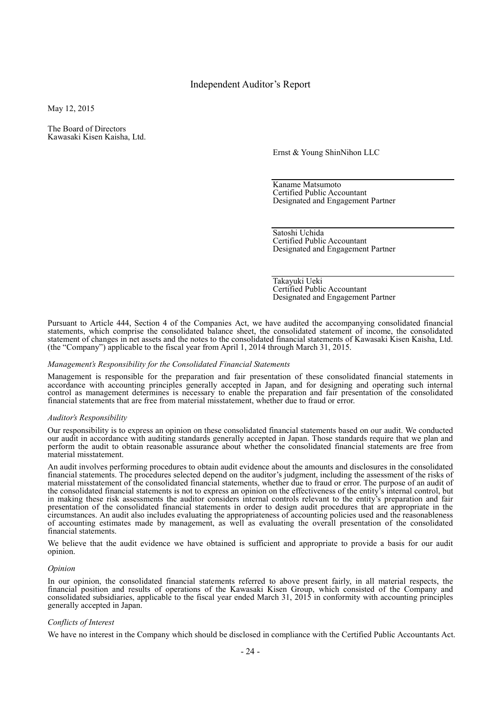### Independent Auditor's Report

May 12, 2015

The Board of Directors Kawasaki Kisen Kaisha, Ltd.

Ernst & Young ShinNihon LLC

Kaname Matsumoto Certified Public Accountant Designated and Engagement Partner

Satoshi Uchida Certified Public Accountant Designated and Engagement Partner

Takayuki Ueki Certified Public Accountant Designated and Engagement Partner

Pursuant to Article 444, Section 4 of the Companies Act, we have audited the accompanying consolidated financial statements, which comprise the consolidated balance sheet, the consolidated statement of income, the consolidated statement of changes in net assets and the notes to the consolidated financial statements of Kawasaki Kisen Kaisha, Ltd. (the "Company") applicable to the fiscal year from April 1, 2014 through March 31, 2015.

#### *Management's Responsibility for the Consolidated Financial Statements*

Management is responsible for the preparation and fair presentation of these consolidated financial statements in accordance with accounting principles generally accepted in Japan, and for designing and operating such internal control as management determines is necessary to enable the preparation and fair presentation of the consolidated financial statements that are free from material misstatement, whether due to fraud or error.

#### *Auditor's Responsibility*

Our responsibility is to express an opinion on these consolidated financial statements based on our audit. We conducted our audit in accordance with auditing standards generally accepted in Japan. Those standards require that we plan and perform the audit to obtain reasonable assurance about whether the consolidated financial statements are free from material misstatement.

An audit involves performing procedures to obtain audit evidence about the amounts and disclosures in the consolidated financial statements. The procedures selected depend on the auditor's judgment, including the assessment of the risks of material misstatement of the consolidated financial statements, whether due to fraud or error. The purpose of an audit of the consolidated financial statements is not to express an opinion on the effectiveness of the entity's internal control, but in making these risk assessments the auditor considers internal controls relevant to the entity's preparation and fair presentation of the consolidated financial statements in order to design audit procedures that are appropriate in the circumstances. An audit also includes evaluating the appropriateness of accounting policies used and the reasonableness of accounting estimates made by management, as well as evaluating the overall presentation of the consolidated financial statements.

We believe that the audit evidence we have obtained is sufficient and appropriate to provide a basis for our audit opinion.

#### *Opinion*

In our opinion, the consolidated financial statements referred to above present fairly, in all material respects, the financial position and results of operations of the Kawasaki Kisen Group, which consisted of the Company and consolidated subsidiaries, applicable to the fiscal year ended March 31, 2015 in conformity with accounting principles generally accepted in Japan.

#### *Conflicts of Interest*

We have no interest in the Company which should be disclosed in compliance with the Certified Public Accountants Act.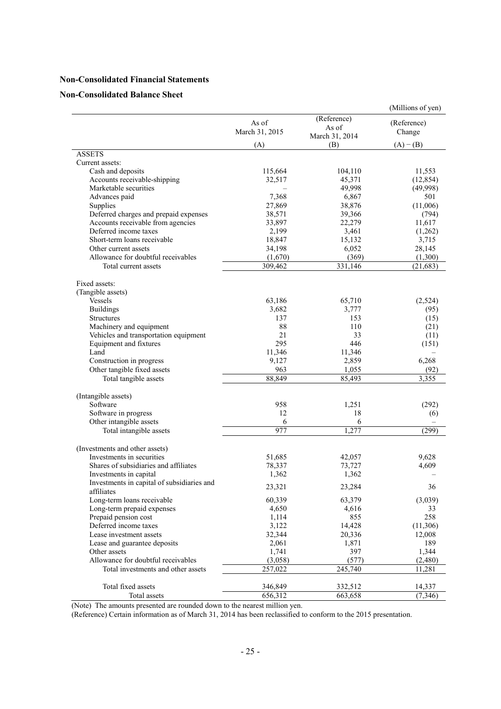### **Non-Consolidated Financial Statements**

### **Non-Consolidated Balance Sheet**

|                                            |                |                 | (Millions of yen) |
|--------------------------------------------|----------------|-----------------|-------------------|
|                                            | As of          | (Reference)     | (Reference)       |
|                                            | March 31, 2015 | As of           | Change            |
|                                            |                | March 31, 2014  |                   |
|                                            | (A)            | (B)             | $(A) - (B)$       |
| <b>ASSETS</b>                              |                |                 |                   |
| Current assets:                            |                |                 |                   |
| Cash and deposits                          | 115,664        | 104,110         | 11,553            |
| Accounts receivable-shipping               | 32,517         | 45,371          | (12, 854)         |
| Marketable securities                      |                | 49,998          | (49,998)          |
| Advances paid                              | 7,368          | 6,867           | 501               |
| Supplies                                   | 27,869         | 38,876          | (11,006)          |
| Deferred charges and prepaid expenses      | 38,571         | 39,366          | (794)             |
| Accounts receivable from agencies          | 33,897         | 22,279          | 11,617            |
| Deferred income taxes                      | 2,199          | 3,461           | (1,262)           |
| Short-term loans receivable                | 18,847         | 15,132          | 3,715             |
| Other current assets                       | 34,198         | 6,052           | 28,145            |
| Allowance for doubtful receivables         | (1,670)        | (369)           | (1,300)           |
| Total current assets                       | 309,462        | 331,146         | (21, 683)         |
|                                            |                |                 |                   |
| Fixed assets:                              |                |                 |                   |
| (Tangible assets)                          |                |                 |                   |
| Vessels                                    | 63,186         | 65,710          | (2,524)           |
| <b>Buildings</b>                           | 3,682          | 3,777           | (95)              |
| <b>Structures</b>                          | 137            | 153             | (15)              |
| Machinery and equipment                    | 88             | 110             | (21)              |
| Vehicles and transportation equipment      | 21             | 33              | (11)              |
| Equipment and fixtures                     | 295            | 446             | (151)             |
| Land                                       | 11,346         | 11,346          |                   |
| Construction in progress                   | 9,127          | 2,859           | 6,268             |
| Other tangible fixed assets                | 963<br>88,849  | 1,055<br>85,493 | (92)<br>3,355     |
| Total tangible assets                      |                |                 |                   |
| (Intangible assets)                        |                |                 |                   |
| Software                                   | 958            | 1,251           | (292)             |
| Software in progress                       | 12             | 18              | (6)               |
| Other intangible assets                    | 6              | 6               |                   |
| Total intangible assets                    | 977            | 1,277           | (299)             |
|                                            |                |                 |                   |
| (Investments and other assets)             |                |                 |                   |
| Investments in securities                  | 51,685         | 42,057          | 9,628             |
| Shares of subsidiaries and affiliates      | 78,337         | 73,727          | 4,609             |
| Investments in capital                     | 1,362          | 1,362           |                   |
| Investments in capital of subsidiaries and | 23,321         | 23,284          | 36                |
| affiliates                                 |                |                 |                   |
| Long-term loans receivable                 | 60,339         | 63,379          | (3,039)           |
| Long-term prepaid expenses                 | 4,650          | 4,616           | 33                |
| Prepaid pension cost                       | 1,114          | 855             | 258               |
| Deferred income taxes                      | 3,122          | 14,428          | (11,306)          |
| Lease investment assets                    | 32,344         | 20,336          | 12,008            |
| Lease and guarantee deposits               | 2,061          | 1,871           | 189               |
| Other assets                               | 1,741          | 397             | 1,344             |
| Allowance for doubtful receivables         | (3,058)        | (577)           | (2,480)           |
| Total investments and other assets         | 257,022        | 245,740         | 11,281            |
|                                            |                |                 |                   |
| Total fixed assets                         | 346,849        | 332,512         | 14,337            |
| Total assets                               | 656,312        | 663,658         | (7, 346)          |

(Note) The amounts presented are rounded down to the nearest million yen.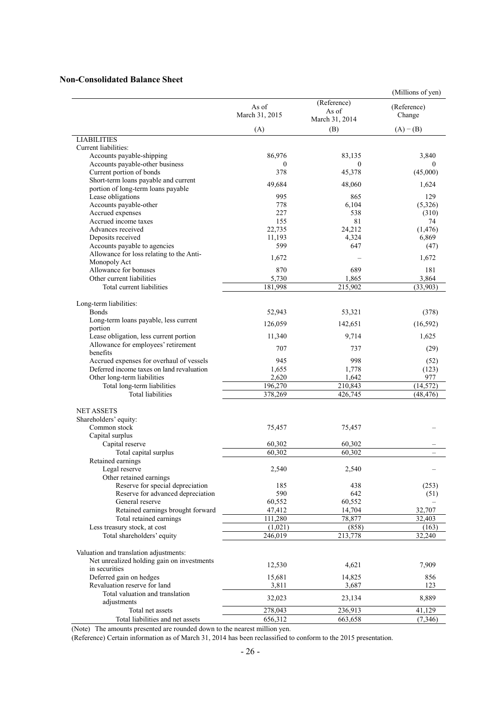### **Non-Consolidated Balance Sheet**

|                                                                               |                         |                                        | (Millions of yen)     |
|-------------------------------------------------------------------------------|-------------------------|----------------------------------------|-----------------------|
|                                                                               | As of<br>March 31, 2015 | (Reference)<br>As of<br>March 31, 2014 | (Reference)<br>Change |
|                                                                               | (A)                     | (B)                                    | $(A) - (B)$           |
| <b>LIABILITIES</b>                                                            |                         |                                        |                       |
| Current liabilities:                                                          |                         |                                        |                       |
| Accounts payable-shipping                                                     | 86,976                  | 83,135                                 | 3,840                 |
| Accounts payable-other business                                               | $\mathbf{0}$            | $\theta$                               | 0                     |
| Current portion of bonds                                                      | 378                     | 45,378                                 | (45,000)              |
| Short-term loans payable and current                                          | 49,684                  | 48,060                                 | 1,624                 |
| portion of long-term loans payable                                            |                         |                                        |                       |
| Lease obligations                                                             | 995                     | 865                                    | 129                   |
| Accounts payable-other                                                        | 778                     | 6,104                                  | (5,326)               |
| Accrued expenses<br>Accrued income taxes                                      | 227<br>155              | 538<br>81                              | (310)<br>74           |
| Advances received                                                             | 22,735                  | 24,212                                 | (1, 476)              |
| Deposits received                                                             | 11,193                  | 4,324                                  | 6,869                 |
| Accounts payable to agencies                                                  | 599                     | 647                                    | (47)                  |
| Allowance for loss relating to the Anti-                                      |                         |                                        |                       |
| Monopoly Act                                                                  | 1,672                   |                                        | 1,672                 |
| Allowance for bonuses                                                         | 870                     | 689                                    | 181                   |
| Other current liabilities                                                     | 5,730                   | 1,865                                  | 3,864                 |
| Total current liabilities                                                     | 181,998                 | 215,902                                | (33, 903)             |
|                                                                               |                         |                                        |                       |
| Long-term liabilities:                                                        |                         |                                        |                       |
| <b>B</b> onds                                                                 | 52,943                  | 53,321                                 | (378)                 |
| Long-term loans payable, less current                                         | 126,059                 | 142,651                                | (16, 592)             |
| portion                                                                       |                         |                                        |                       |
| Lease obligation, less current portion<br>Allowance for employees' retirement | 11,340                  | 9,714                                  | 1,625                 |
| benefits                                                                      | 707                     | 737                                    | (29)                  |
| Accrued expenses for overhaul of vessels                                      | 945                     | 998                                    | (52)                  |
| Deferred income taxes on land revaluation                                     | 1,655                   | 1,778                                  | (123)                 |
| Other long-term liabilities                                                   | 2,620                   | 1,642                                  | 977                   |
| Total long-term liabilities                                                   | 196,270                 | 210,843                                | (14, 572)             |
| <b>Total liabilities</b>                                                      | 378,269                 | 426,745                                | (48, 476)             |
|                                                                               |                         |                                        |                       |
| <b>NET ASSETS</b>                                                             |                         |                                        |                       |
| Shareholders' equity:                                                         |                         |                                        |                       |
| Common stock                                                                  | 75,457                  | 75,457                                 |                       |
| Capital surplus                                                               | 60,302                  | 60,302                                 |                       |
| Capital reserve                                                               | 60,302                  | 60,302                                 |                       |
| Total capital surplus<br>Retained earnings                                    |                         |                                        |                       |
| Legal reserve                                                                 | 2,540                   | 2,540                                  |                       |
| Other retained earnings                                                       |                         |                                        |                       |
| Reserve for special depreciation                                              | 185                     | 438                                    | (253)                 |
| Reserve for advanced depreciation                                             | 590                     | 642                                    | (51)                  |
| General reserve                                                               | 60,552                  | 60,552                                 |                       |
| Retained earnings brought forward                                             | 47,412                  | 14,704                                 | 32,707                |
| Total retained earnings                                                       | 111,280                 | 78,877                                 | 32,403                |
| Less treasury stock, at cost                                                  | (1,021)                 | (858)                                  | (163)                 |
| Total shareholders' equity                                                    | 246,019                 | 213,778                                | 32,240                |
|                                                                               |                         |                                        |                       |
| Valuation and translation adjustments:                                        |                         |                                        |                       |
| Net unrealized holding gain on investments                                    | 12,530                  | 4,621                                  | 7,909                 |
| in securities                                                                 |                         |                                        |                       |
| Deferred gain on hedges                                                       | 15,681                  | 14,825                                 | 856                   |
| Revaluation reserve for land                                                  | 3,811                   | 3,687                                  | 123                   |
| Total valuation and translation<br>adjustments                                | 32,023                  | 23,134                                 | 8,889                 |
| Total net assets                                                              | 278,043                 | 236,913                                | 41,129                |
| Total liabilities and net assets                                              | 656,312                 | 663,658                                | (7, 346)              |

(Note) The amounts presented are rounded down to the nearest million yen.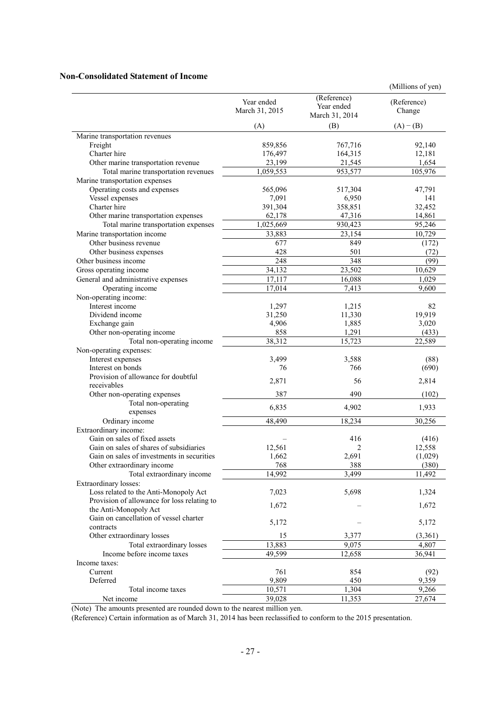### **Non-Consolidated Statement of Income**

|                                                          |                              |                                             | (Millions of yen)     |
|----------------------------------------------------------|------------------------------|---------------------------------------------|-----------------------|
|                                                          | Year ended<br>March 31, 2015 | (Reference)<br>Year ended<br>March 31, 2014 | (Reference)<br>Change |
|                                                          | (A)                          | (B)                                         | $(A) - (B)$           |
| Marine transportation revenues                           |                              |                                             |                       |
| Freight                                                  | 859,856                      | 767,716                                     | 92,140                |
| Charter hire                                             | 176,497                      | 164,315                                     | 12,181                |
| Other marine transportation revenue                      | 23,199                       | 21,545                                      | 1,654                 |
| Total marine transportation revenues                     | 1,059,553                    | 953,577                                     | 105,976               |
| Marine transportation expenses                           |                              |                                             |                       |
| Operating costs and expenses                             | 565,096                      | 517,304                                     | 47,791                |
| Vessel expenses                                          | 7,091                        | 6,950                                       | 141                   |
| Charter hire                                             | 391,304                      | 358,851                                     | 32,452                |
| Other marine transportation expenses                     | 62,178                       | 47,316                                      | 14,861                |
| Total marine transportation expenses                     | 1,025,669                    | 930,423                                     | 95,246                |
| Marine transportation income                             | 33,883                       | 23,154                                      | 10,729                |
| Other business revenue                                   | 677                          | 849                                         | (172)                 |
| Other business expenses                                  | 428                          | 501                                         | (72)                  |
| Other business income                                    | 248                          | 348                                         | (99)                  |
| Gross operating income                                   | 34,132                       | 23,502                                      | 10,629                |
| General and administrative expenses                      | 17,117                       | 16,088                                      | 1,029                 |
| Operating income                                         | 17,014                       | 7,413                                       | 9,600                 |
| Non-operating income:                                    |                              |                                             |                       |
| Interest income                                          | 1,297                        | 1,215                                       | 82                    |
| Dividend income                                          | 31,250                       | 11,330                                      | 19,919                |
| Exchange gain                                            | 4,906                        | 1,885                                       | 3,020                 |
| Other non-operating income                               | 858                          | 1,291                                       | (433)                 |
| Total non-operating income                               | 38,312                       | 15,723                                      | 22.589                |
| Non-operating expenses:                                  |                              |                                             |                       |
| Interest expenses                                        | 3,499                        | 3,588                                       | (88)                  |
| Interest on bonds<br>Provision of allowance for doubtful | 76                           | 766                                         | (690)                 |
| receivables                                              | 2,871                        | 56                                          | 2,814                 |
| Other non-operating expenses                             | 387                          | 490                                         | (102)                 |
| Total non-operating                                      |                              |                                             |                       |
| expenses                                                 | 6,835                        | 4,902                                       | 1,933                 |
| Ordinary income                                          | 48,490                       | 18,234                                      | 30,256                |
| Extraordinary income:                                    |                              |                                             |                       |
| Gain on sales of fixed assets                            |                              | 416                                         | (416)                 |
| Gain on sales of shares of subsidiaries                  | 12,561                       | $\overline{c}$                              | 12,558                |
| Gain on sales of investments in securities               | 1,662                        | 2,691                                       | (1,029)               |
| Other extraordinary income                               | 768                          | 388                                         | (380)                 |
| Total extraordinary income                               | 14,992                       | 3,499                                       | 11,492                |
| Extraordinary losses:                                    |                              |                                             |                       |
| Loss related to the Anti-Monopoly Act                    | 7,023                        | 5,698                                       | 1,324                 |
| Provision of allowance for loss relating to              |                              |                                             |                       |
| the Anti-Monopoly Act                                    | 1,672                        |                                             | 1,672                 |
| Gain on cancellation of vessel charter                   | 5,172                        |                                             |                       |
| contracts                                                |                              |                                             | 5,172                 |
| Other extraordinary losses                               | 15                           | 3.377                                       | (3,361)               |
| Total extraordinary losses                               | 13,883                       | 9,075                                       | 4,807                 |
| Income before income taxes                               | 49,599                       | 12,658                                      | 36,941                |
| Income taxes:                                            |                              |                                             |                       |
| Current                                                  | 761                          | 854                                         | (92)                  |
| Deferred                                                 | 9,809                        | 450                                         | 9,359                 |
| Total income taxes                                       | 10,571                       | 1,304                                       | 9,266                 |
| Net income                                               | 39,028                       | 11,353                                      | 27,674                |

(Note) The amounts presented are rounded down to the nearest million yen.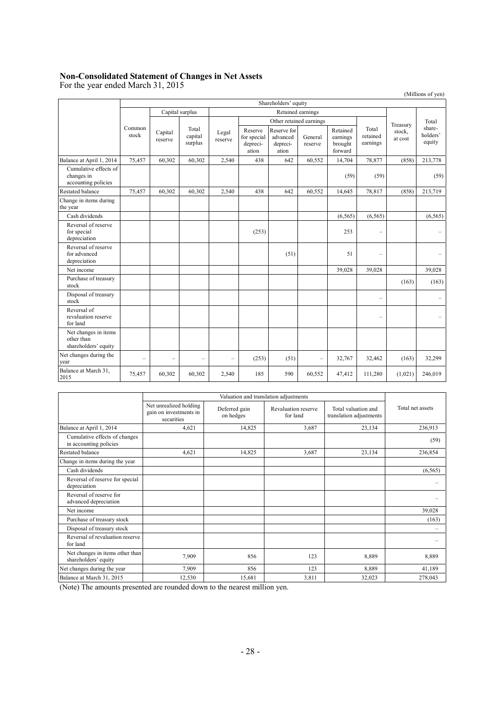### **Non-Consolidated Statement of Changes in Net Assets**

For the year ended March 31, 2015

(Millions of yen) Shareholders' equity Common stock Capital surplus Retained earnings Treasury stock, at cost Total shareholders' equity Capital reserve Total capital surplus Legal reserve Other retained earnings Total retained earnings Reserve for special depreciation Reserve for advanced depreciation General reserve Retained earnings brought forward Balance at April 1, 2014 75,457 60,302 60,302 2,540 438 642 60,552 14,704 78,877 (858) 213,778 Cumulative effects of changes in accounting policies  $(59)$  (59) (59) (59) Restated balance 75,457 60,302 60,302 2,540 438 642 60,552 14,645 78,817 (858) 213,719 Change in items during the year  $\text{Cash dividends}$  (6,565) (6,565) (6,565) (6,565) (6,565) Reversal of reserve for special depreciation (253) 253 – – Reversal of reserve for advanced depreciation (51) 51 – – Net income 39,028 39,028 39,028 39,028 39,028 39,028 39,028 39,028 39,028 Purchase of treasury stock (163) (163) (163) (163) (163) Disposal of treasury  $S_{\text{DSPOSAT}}$  (and  $S_{\text{DSPOSAT}}$  ) and  $S_{\text{DSPOAT}}$  (b)  $S_{\text{DSPOAT}}$  (b)  $S_{\text{DSPOAT}}$  (b)  $S_{\text{DSPOAT}}$  (b)  $S_{\text{DSPOAT}}$  (b)  $S_{\text{DSPOAT}}$  (b)  $S_{\text{DSPOAT}}$  (b)  $S_{\text{DSPOAT}}$  (b)  $S_{\text{DSPOAT}}$  (c)  $S_{\text{DSPOAT}}$  (c)  $S_{\text{DSPOAT}}$  ( Reversal of revaluation reserve for land – – Net changes in items other than shareholders' equity Net changes during the year – – – – – – (253) (51) – 32,767 32,462 (163) 32,299<br>year Balance at March 31, 2015<br>2015 - 2015 111,280 1205 131, 1206,019 1206,019 135 131,280 1206,019 135 131,280 131,280 140,019 130,019

|                                                         | Net unrealized holding<br>gain on investments in<br>securities | Deferred gain<br>on hedges | Revaluation reserve<br>for land | Total valuation and<br>translation adjustments | Total net assets |
|---------------------------------------------------------|----------------------------------------------------------------|----------------------------|---------------------------------|------------------------------------------------|------------------|
| Balance at April 1, 2014                                | 4,621                                                          | 14,825                     | 3,687                           | 23,134                                         | 236,913          |
| Cumulative effects of changes<br>in accounting policies |                                                                |                            |                                 |                                                | (59)             |
| Restated balance                                        | 4,621                                                          | 14,825                     | 3,687                           | 23,134                                         | 236,854          |
| Change in items during the year                         |                                                                |                            |                                 |                                                |                  |
| Cash dividends                                          |                                                                |                            |                                 |                                                | (6, 565)         |
| Reversal of reserve for special<br>depreciation         |                                                                |                            |                                 |                                                |                  |
| Reversal of reserve for<br>advanced depreciation        |                                                                |                            |                                 |                                                |                  |
| Net income                                              |                                                                |                            |                                 |                                                | 39,028           |
| Purchase of treasury stock                              |                                                                |                            |                                 |                                                | (163)            |
| Disposal of treasury stock                              |                                                                |                            |                                 |                                                |                  |
| Reversal of revaluation reserve<br>for land             |                                                                |                            |                                 |                                                |                  |
| Net changes in items other than<br>shareholders' equity | 7,909                                                          | 856                        | 123                             | 8,889                                          | 8,889            |
| Net changes during the year                             | 7,909                                                          | 856                        | 123                             | 8,889                                          | 41,189           |
| Balance at March 31, 2015                               | 12,530                                                         | 15,681                     | 3,811                           | 32.023                                         | 278,043          |

(Note) The amounts presented are rounded down to the nearest million yen.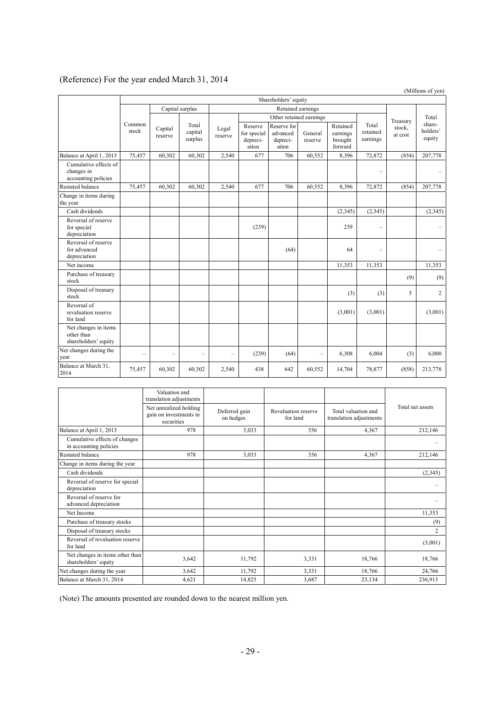# (Reference) For the year ended March 31, 2014

|                                                            |                      |                             |                  |                                             |                                              |                    |                                            |                               |                          |                              | (Millions of yen) |
|------------------------------------------------------------|----------------------|-----------------------------|------------------|---------------------------------------------|----------------------------------------------|--------------------|--------------------------------------------|-------------------------------|--------------------------|------------------------------|-------------------|
|                                                            | Shareholders' equity |                             |                  |                                             |                                              |                    |                                            |                               |                          |                              |                   |
|                                                            |                      | Capital surplus             |                  |                                             |                                              | Retained earnings  |                                            |                               |                          |                              |                   |
|                                                            |                      |                             |                  |                                             | Other retained earnings                      |                    |                                            |                               | Treasury                 | Total                        |                   |
| Common<br>stock                                            | Capital<br>reserve   | Total<br>capital<br>surplus | Legal<br>reserve | Reserve<br>for special<br>depreci-<br>ation | Reserve for<br>advanced<br>depreci-<br>ation | General<br>reserve | Retained<br>earnings<br>brought<br>forward | Total<br>retained<br>earnings | stock,<br>at cost        | share-<br>holders'<br>equity |                   |
| Balance at April 1, 2013                                   | 75,457               | 60,302                      | 60,302           | 2,540                                       | 677                                          | 706                | 60,552                                     | 8,396                         | 72,872                   | (854)                        | 207,778           |
| Cumulative effects of<br>changes in<br>accounting policies |                      |                             |                  |                                             |                                              |                    |                                            |                               | $\equiv$                 |                              |                   |
| Restated balance                                           | 75,457               | 60,302                      | 60,302           | 2,540                                       | 677                                          | 706                | 60,552                                     | 8,396                         | 72,872                   | (854)                        | 207,778           |
| Change in items during<br>the year                         |                      |                             |                  |                                             |                                              |                    |                                            |                               |                          |                              |                   |
| Cash dividends                                             |                      |                             |                  |                                             |                                              |                    |                                            | (2, 345)                      | (2, 345)                 |                              | (2,345)           |
| Reversal of reserve<br>for special<br>depreciation         |                      |                             |                  |                                             | (239)                                        |                    |                                            | 239                           | $\equiv$                 |                              |                   |
| Reversal of reserve<br>for advanced<br>depreciation        |                      |                             |                  |                                             |                                              | (64)               |                                            | 64                            | $\overline{\phantom{0}}$ |                              | $\equiv$          |
| Net income                                                 |                      |                             |                  |                                             |                                              |                    |                                            | 11,353                        | 11,353                   |                              | 11,353            |
| Purchase of treasury<br>stock                              |                      |                             |                  |                                             |                                              |                    |                                            |                               |                          | (9)                          | (9)               |
| Disposal of treasury<br>stock                              |                      |                             |                  |                                             |                                              |                    |                                            | (3)                           | (3)                      | 5                            | $\overline{2}$    |
| Reversal of<br>revaluation reserve<br>for land             |                      |                             |                  |                                             |                                              |                    |                                            | (3,001)                       | (3,001)                  |                              | (3,001)           |
| Net changes in items<br>other than<br>shareholders' equity |                      |                             |                  |                                             |                                              |                    |                                            |                               |                          |                              |                   |
| Net changes during the<br>year                             | $\equiv$             | $\overline{\phantom{0}}$    |                  | $\overline{\phantom{a}}$                    | (239)                                        | (64)               | $\equiv$                                   | 6,308                         | 6,004                    | (3)                          | 6,000             |
| Balance at March 31,<br>2014                               | 75,457               | 60,302                      | 60,302           | 2,540                                       | 438                                          | 642                | 60,552                                     | 14,704                        | 78,877                   | (858)                        | 213,778           |

|                                                         | Valuation and<br>translation adjustments                       |                            |                                 |                                                |                  |  |
|---------------------------------------------------------|----------------------------------------------------------------|----------------------------|---------------------------------|------------------------------------------------|------------------|--|
|                                                         | Net unrealized holding<br>gain on investments in<br>securities | Deferred gain<br>on hedges | Revaluation reserve<br>for land | Total valuation and<br>translation adjustments | Total net assets |  |
| Balance at April 1, 2013                                | 978                                                            | 3,033                      | 356                             | 4,367                                          | 212,146          |  |
| Cumulative effects of changes<br>in accounting policies |                                                                |                            |                                 |                                                |                  |  |
| <b>Restated balance</b>                                 | 978                                                            | 3,033                      | 356                             | 4,367                                          | 212,146          |  |
| Change in items during the year                         |                                                                |                            |                                 |                                                |                  |  |
| Cash dividends                                          |                                                                |                            |                                 |                                                | (2,345)          |  |
| Reversal of reserve for special<br>depreciation         |                                                                |                            |                                 |                                                |                  |  |
| Reversal of reserve for<br>advanced depreciation        |                                                                |                            |                                 |                                                |                  |  |
| Net Income                                              |                                                                |                            |                                 |                                                | 11,353           |  |
| Purchase of treasury stocks                             |                                                                |                            |                                 |                                                | (9)              |  |
| Disposal of treasury stocks                             |                                                                |                            |                                 |                                                | 2                |  |
| Reversal of revaluation reserve<br>for land             |                                                                |                            |                                 |                                                | (3,001)          |  |
| Net changes in items other than<br>shareholders' equity | 3,642                                                          | 11,792                     | 3,331                           | 18,766                                         | 18,766           |  |
| Net changes during the year                             | 3,642                                                          | 11,792                     | 3,331                           | 18,766                                         | 24,766           |  |
| Balance at March 31, 2014                               | 4,621                                                          | 14,825                     | 3,687                           | 23,134                                         | 236,913          |  |

(Note) The amounts presented are rounded down to the nearest million yen.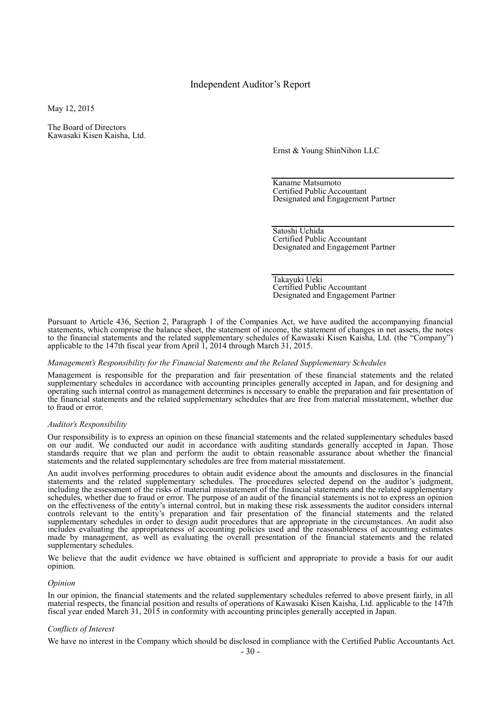### Independent Auditor's Report

May 12, 2015

The Board of Directors Kawasaki Kisen Kaisha, Ltd.

Ernst & Young ShinNihon LLC

Kaname Matsumoto Certified Public Accountant Designated and Engagement Partner

Satoshi Uchida Certified Public Accountant Designated and Engagement Partner

Takayuki Ueki Certified Public Accountant Designated and Engagement Partner

Pursuant to Article 436, Section 2, Paragraph 1 of the Companies Act, we have audited the accompanying financial statements, which comprise the balance sheet, the statement of income, the statement of changes in net assets, the notes to the financial statements and the related supplementary schedules of Kawasaki Kisen Kaisha, Ltd. (the "Company") applicable to the 147th fiscal year from April 1, 2014 through March 31, 2015.

#### *Management's Responsibility for the Financial Statements and the Related Supplementary Schedules*

Management is responsible for the preparation and fair presentation of these financial statements and the related supplementary schedules in accordance with accounting principles generally accepted in Japan, and for designing and operating such internal control as management determines is necessary to enable the preparation and fair presentation of the financial statements and the related supplementary schedules that are free from material misstatement, whether due to fraud or error.

#### *Auditor's Responsibility*

Our responsibility is to express an opinion on these financial statements and the related supplementary schedules based on our audit. We conducted our audit in accordance with auditing standards generally accepted in Japan. Those standards require that we plan and perform the audit to obtain reasonable assurance about whether the financial statements and the related supplementary schedules are free from material misstatement.

An audit involves performing procedures to obtain audit evidence about the amounts and disclosures in the financial statements and the related supplementary schedules. The procedures selected depend on the auditor's judgment, including the assessment of the risks of material misstatement of the financial statements and the related supplementary schedules, whether due to fraud or error. The purpose of an audit of the financial statements is not to express an opinion on the effectiveness of the entity's internal control, but in making these risk assessments the auditor considers internal controls relevant to the entity's preparation and fair presentation of the financial statements and the related supplementary schedules in order to design audit procedures that are appropriate in the circumstances. An audit also includes evaluating the appropriateness of accounting policies used and the reasonableness of accounting estimates made by management, as well as evaluating the overall presentation of the financial statements and the related supplementary schedules.

We believe that the audit evidence we have obtained is sufficient and appropriate to provide a basis for our audit opinion.

#### *Opinion*

In our opinion, the financial statements and the related supplementary schedules referred to above present fairly, in all material respects, the financial position and results of operations of Kawasaki Kisen Kaisha, Ltd. applicable to the 147th fiscal year ended March 31, 2015 in conformity with accounting principles generally accepted in Japan.

#### *Conflicts of Interest*

We have no interest in the Company which should be disclosed in compliance with the Certified Public Accountants Act.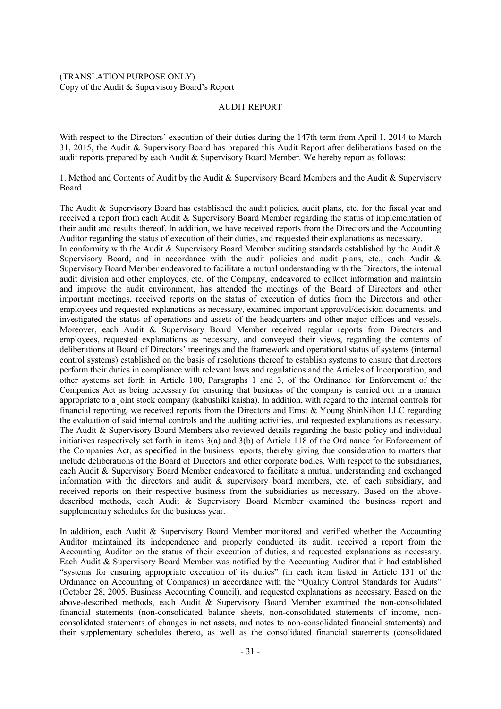### (TRANSLATION PURPOSE ONLY) Copy of the Audit & Supervisory Board's Report

### AUDIT REPORT

With respect to the Directors' execution of their duties during the 147th term from April 1, 2014 to March 31, 2015, the Audit & Supervisory Board has prepared this Audit Report after deliberations based on the audit reports prepared by each Audit  $&$  Supervisory Board Member. We hereby report as follows:

1. Method and Contents of Audit by the Audit & Supervisory Board Members and the Audit & Supervisory Board

The Audit & Supervisory Board has established the audit policies, audit plans, etc. for the fiscal year and received a report from each Audit & Supervisory Board Member regarding the status of implementation of their audit and results thereof. In addition, we have received reports from the Directors and the Accounting Auditor regarding the status of execution of their duties, and requested their explanations as necessary.

In conformity with the Audit & Supervisory Board Member auditing standards established by the Audit  $\&$ Supervisory Board, and in accordance with the audit policies and audit plans, etc., each Audit & Supervisory Board Member endeavored to facilitate a mutual understanding with the Directors, the internal audit division and other employees, etc. of the Company, endeavored to collect information and maintain and improve the audit environment, has attended the meetings of the Board of Directors and other important meetings, received reports on the status of execution of duties from the Directors and other employees and requested explanations as necessary, examined important approval/decision documents, and investigated the status of operations and assets of the headquarters and other major offices and vessels. Moreover, each Audit & Supervisory Board Member received regular reports from Directors and employees, requested explanations as necessary, and conveyed their views, regarding the contents of deliberations at Board of Directors' meetings and the framework and operational status of systems (internal control systems) established on the basis of resolutions thereof to establish systems to ensure that directors perform their duties in compliance with relevant laws and regulations and the Articles of Incorporation, and other systems set forth in Article 100, Paragraphs 1 and 3, of the Ordinance for Enforcement of the Companies Act as being necessary for ensuring that business of the company is carried out in a manner appropriate to a joint stock company (kabushiki kaisha). In addition, with regard to the internal controls for financial reporting, we received reports from the Directors and Ernst & Young ShinNihon LLC regarding the evaluation of said internal controls and the auditing activities, and requested explanations as necessary. The Audit & Supervisory Board Members also reviewed details regarding the basic policy and individual initiatives respectively set forth in items 3(a) and 3(b) of Article 118 of the Ordinance for Enforcement of the Companies Act, as specified in the business reports, thereby giving due consideration to matters that include deliberations of the Board of Directors and other corporate bodies. With respect to the subsidiaries, each Audit & Supervisory Board Member endeavored to facilitate a mutual understanding and exchanged information with the directors and audit  $\&$  supervisory board members, etc. of each subsidiary, and received reports on their respective business from the subsidiaries as necessary. Based on the abovedescribed methods, each Audit & Supervisory Board Member examined the business report and supplementary schedules for the business year.

In addition, each Audit & Supervisory Board Member monitored and verified whether the Accounting Auditor maintained its independence and properly conducted its audit, received a report from the Accounting Auditor on the status of their execution of duties, and requested explanations as necessary. Each Audit & Supervisory Board Member was notified by the Accounting Auditor that it had established "systems for ensuring appropriate execution of its duties" (in each item listed in Article 131 of the Ordinance on Accounting of Companies) in accordance with the "Quality Control Standards for Audits" (October 28, 2005, Business Accounting Council), and requested explanations as necessary. Based on the above-described methods, each Audit & Supervisory Board Member examined the non-consolidated financial statements (non-consolidated balance sheets, non-consolidated statements of income, nonconsolidated statements of changes in net assets, and notes to non-consolidated financial statements) and their supplementary schedules thereto, as well as the consolidated financial statements (consolidated